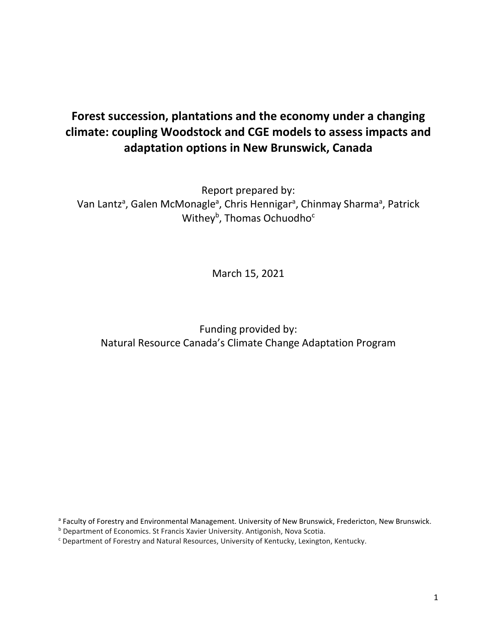# **Forest succession, plantations and the economy under a changing climate: coupling Woodstock and CGE models to assess impacts and adaptation options in New Brunswick, Canada**

Report prepared by: Van Lantz<sup>a</sup>, Galen McMonagle<sup>a</sup>, Chris Hennigar<sup>a</sup>, Chinmay Sharma<sup>a</sup>, Patrick Withey<sup>b</sup>, Thomas Ochuodho<sup>c</sup>

March 15, 2021

Funding provided by: Natural Resource Canada's Climate Change Adaptation Program

a Faculty of Forestry and Environmental Management. University of New Brunswick, Fredericton, New Brunswick.

**b Department of Economics. St Francis Xavier University. Antigonish, Nova Scotia.** 

<sup>c</sup> Department of Forestry and Natural Resources, University of Kentucky, Lexington, Kentucky.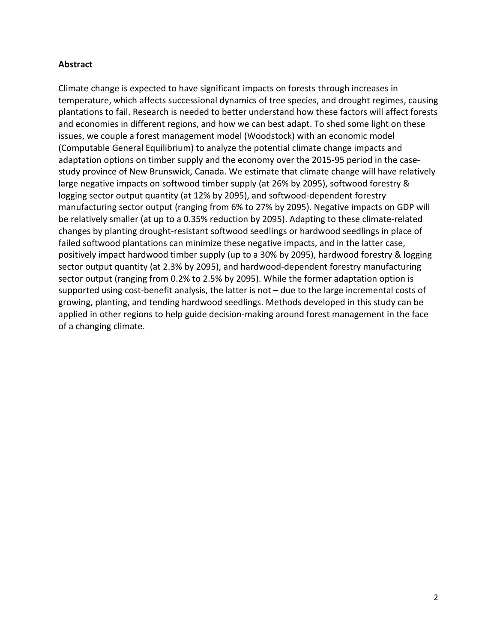### **Abstract**

Climate change is expected to have significant impacts on forests through increases in temperature, which affects successional dynamics of tree species, and drought regimes, causing plantations to fail. Research is needed to better understand how these factors will affect forests and economies in different regions, and how we can best adapt. To shed some light on these issues, we couple a forest management model (Woodstock) with an economic model (Computable General Equilibrium) to analyze the potential climate change impacts and adaptation options on timber supply and the economy over the 2015-95 period in the casestudy province of New Brunswick, Canada. We estimate that climate change will have relatively large negative impacts on softwood timber supply (at 26% by 2095), softwood forestry & logging sector output quantity (at 12% by 2095), and softwood-dependent forestry manufacturing sector output (ranging from 6% to 27% by 2095). Negative impacts on GDP will be relatively smaller (at up to a 0.35% reduction by 2095). Adapting to these climate-related changes by planting drought-resistant softwood seedlings or hardwood seedlings in place of failed softwood plantations can minimize these negative impacts, and in the latter case, positively impact hardwood timber supply (up to a 30% by 2095), hardwood forestry & logging sector output quantity (at 2.3% by 2095), and hardwood-dependent forestry manufacturing sector output (ranging from 0.2% to 2.5% by 2095). While the former adaptation option is supported using cost-benefit analysis, the latter is not – due to the large incremental costs of growing, planting, and tending hardwood seedlings. Methods developed in this study can be applied in other regions to help guide decision-making around forest management in the face of a changing climate.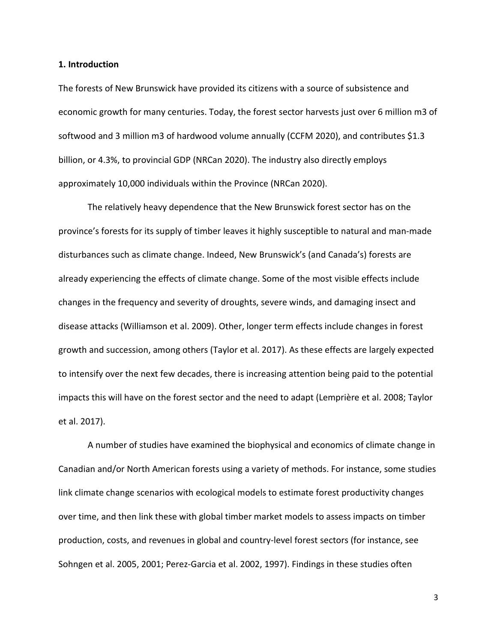#### **1. Introduction**

The forests of New Brunswick have provided its citizens with a source of subsistence and economic growth for many centuries. Today, the forest sector harvests just over 6 million m3 of softwood and 3 million m3 of hardwood volume annually (CCFM 2020), and contributes \$1.3 billion, or 4.3%, to provincial GDP (NRCan 2020). The industry also directly employs approximately 10,000 individuals within the Province (NRCan 2020).

The relatively heavy dependence that the New Brunswick forest sector has on the province's forests for its supply of timber leaves it highly susceptible to natural and man-made disturbances such as climate change. Indeed, New Brunswick's (and Canada's) forests are already experiencing the effects of climate change. Some of the most visible effects include changes in the frequency and severity of droughts, severe winds, and damaging insect and disease attacks (Williamson et al. 2009). Other, longer term effects include changes in forest growth and succession, among others (Taylor et al. 2017). As these effects are largely expected to intensify over the next few decades, there is increasing attention being paid to the potential impacts this will have on the forest sector and the need to adapt (Lemprière et al. 2008; Taylor et al. 2017).

A number of studies have examined the biophysical and economics of climate change in Canadian and/or North American forests using a variety of methods. For instance, some studies link climate change scenarios with ecological models to estimate forest productivity changes over time, and then link these with global timber market models to assess impacts on timber production, costs, and revenues in global and country-level forest sectors (for instance, see Sohngen et al. 2005, 2001; Perez-Garcia et al. 2002, 1997). Findings in these studies often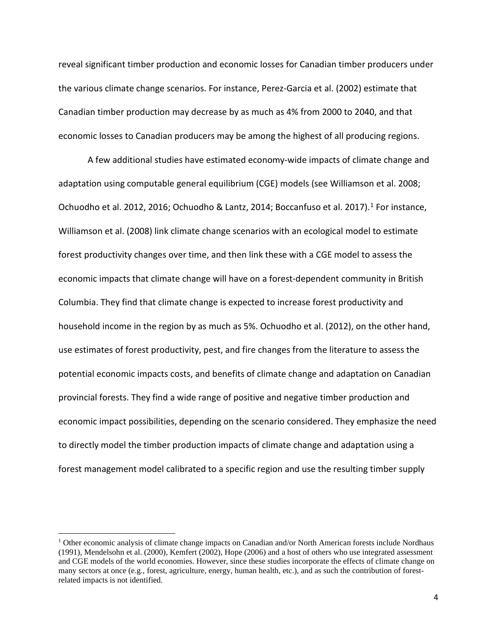reveal significant timber production and economic losses for Canadian timber producers under the various climate change scenarios. For instance, Perez-Garcia et al. (2002) estimate that Canadian timber production may decrease by as much as 4% from 2000 to 2040, and that economic losses to Canadian producers may be among the highest of all producing regions.

A few additional studies have estimated economy-wide impacts of climate change and adaptation using computable general equilibrium (CGE) models (see Williamson et al. 2008; Ochuodho et al. 20[1](#page-3-0)2, 2016; Ochuodho & Lantz, 2014; Boccanfuso et al. 2017).<sup>1</sup> For instance, Williamson et al. (2008) link climate change scenarios with an ecological model to estimate forest productivity changes over time, and then link these with a CGE model to assess the economic impacts that climate change will have on a forest-dependent community in British Columbia. They find that climate change is expected to increase forest productivity and household income in the region by as much as 5%. Ochuodho et al. (2012), on the other hand, use estimates of forest productivity, pest, and fire changes from the literature to assess the potential economic impacts costs, and benefits of climate change and adaptation on Canadian provincial forests. They find a wide range of positive and negative timber production and economic impact possibilities, depending on the scenario considered. They emphasize the need to directly model the timber production impacts of climate change and adaptation using a forest management model calibrated to a specific region and use the resulting timber supply

<span id="page-3-0"></span><sup>&</sup>lt;sup>1</sup> Other economic analysis of climate change impacts on Canadian and/or North American forests include Nordhaus (1991), Mendelsohn et al. (2000), Kemfert (2002), Hope (2006) and a host of others who use integrated assessment and CGE models of the world economies. However, since these studies incorporate the effects of climate change on many sectors at once (e.g., forest, agriculture, energy, human health, etc.), and as such the contribution of forestrelated impacts is not identified.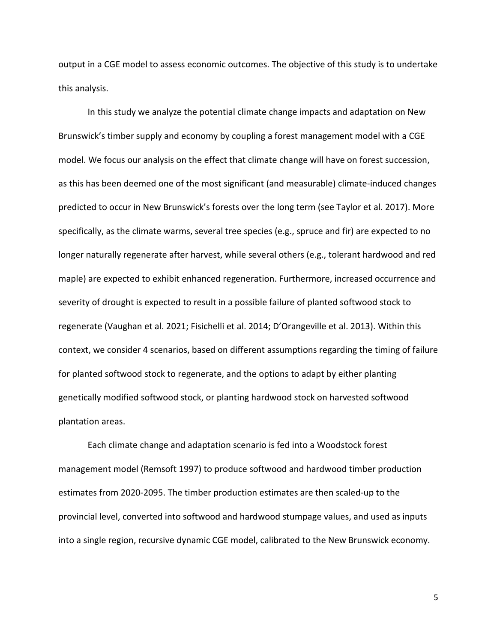output in a CGE model to assess economic outcomes. The objective of this study is to undertake this analysis.

In this study we analyze the potential climate change impacts and adaptation on New Brunswick's timber supply and economy by coupling a forest management model with a CGE model. We focus our analysis on the effect that climate change will have on forest succession, as this has been deemed one of the most significant (and measurable) climate-induced changes predicted to occur in New Brunswick's forests over the long term (see Taylor et al. 2017). More specifically, as the climate warms, several tree species (e.g., spruce and fir) are expected to no longer naturally regenerate after harvest, while several others (e.g., tolerant hardwood and red maple) are expected to exhibit enhanced regeneration. Furthermore, increased occurrence and severity of drought is expected to result in a possible failure of planted softwood stock to regenerate (Vaughan et al. 2021; Fisichelli et al. 2014; D'Orangeville et al. 2013). Within this context, we consider 4 scenarios, based on different assumptions regarding the timing of failure for planted softwood stock to regenerate, and the options to adapt by either planting genetically modified softwood stock, or planting hardwood stock on harvested softwood plantation areas.

Each climate change and adaptation scenario is fed into a Woodstock forest management model (Remsoft 1997) to produce softwood and hardwood timber production estimates from 2020-2095. The timber production estimates are then scaled-up to the provincial level, converted into softwood and hardwood stumpage values, and used as inputs into a single region, recursive dynamic CGE model, calibrated to the New Brunswick economy.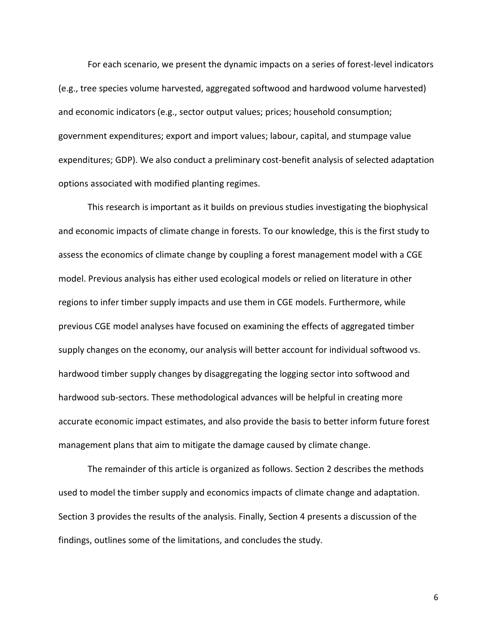For each scenario, we present the dynamic impacts on a series of forest-level indicators (e.g., tree species volume harvested, aggregated softwood and hardwood volume harvested) and economic indicators (e.g., sector output values; prices; household consumption; government expenditures; export and import values; labour, capital, and stumpage value expenditures; GDP). We also conduct a preliminary cost-benefit analysis of selected adaptation options associated with modified planting regimes.

This research is important as it builds on previous studies investigating the biophysical and economic impacts of climate change in forests. To our knowledge, this is the first study to assess the economics of climate change by coupling a forest management model with a CGE model. Previous analysis has either used ecological models or relied on literature in other regions to infer timber supply impacts and use them in CGE models. Furthermore, while previous CGE model analyses have focused on examining the effects of aggregated timber supply changes on the economy, our analysis will better account for individual softwood vs. hardwood timber supply changes by disaggregating the logging sector into softwood and hardwood sub-sectors. These methodological advances will be helpful in creating more accurate economic impact estimates, and also provide the basis to better inform future forest management plans that aim to mitigate the damage caused by climate change.

The remainder of this article is organized as follows. Section 2 describes the methods used to model the timber supply and economics impacts of climate change and adaptation. Section 3 provides the results of the analysis. Finally, Section 4 presents a discussion of the findings, outlines some of the limitations, and concludes the study.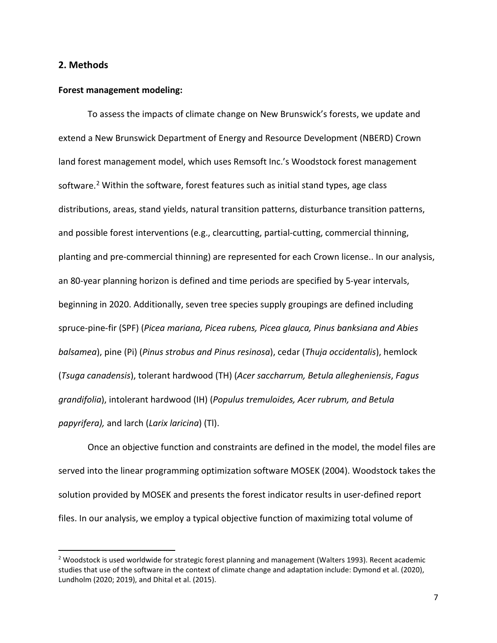#### **2. Methods**

#### **Forest management modeling:**

To assess the impacts of climate change on New Brunswick's forests, we update and extend a New Brunswick Department of Energy and Resource Development (NBERD) Crown land forest management model, which uses Remsoft Inc.'s Woodstock forest management software.<sup>[2](#page-6-0)</sup> Within the software, forest features such as initial stand types, age class distributions, areas, stand yields, natural transition patterns, disturbance transition patterns, and possible forest interventions (e.g., clearcutting, partial-cutting, commercial thinning, planting and pre-commercial thinning) are represented for each Crown license.. In our analysis, an 80-year planning horizon is defined and time periods are specified by 5-year intervals, beginning in 2020. Additionally, seven tree species supply groupings are defined including spruce-pine-fir (SPF) (*Picea mariana, Picea rubens, Picea glauca, Pinus banksiana and Abies balsamea*), pine (Pi) (*Pinus strobus and Pinus resinosa*), cedar (*Thuja occidentalis*), hemlock (*Tsuga canadensis*), tolerant hardwood (TH) (*Acer saccharrum, Betula allegheniensis*, *Fagus grandifolia*), intolerant hardwood (IH) (*Populus tremuloides, Acer rubrum, and Betula papyrifera),* and larch (*Larix laricina*) (Tl).

Once an objective function and constraints are defined in the model, the model files are served into the linear programming optimization software MOSEK (2004). Woodstock takes the solution provided by MOSEK and presents the forest indicator results in user-defined report files. In our analysis, we employ a typical objective function of maximizing total volume of

<span id="page-6-0"></span><sup>&</sup>lt;sup>2</sup> Woodstock is used worldwide for strategic forest planning and management (Walters 1993). Recent academic studies that use of the software in the context of climate change and adaptation include: Dymond et al. (2020), Lundholm (2020; 2019), and Dhital et al. (2015).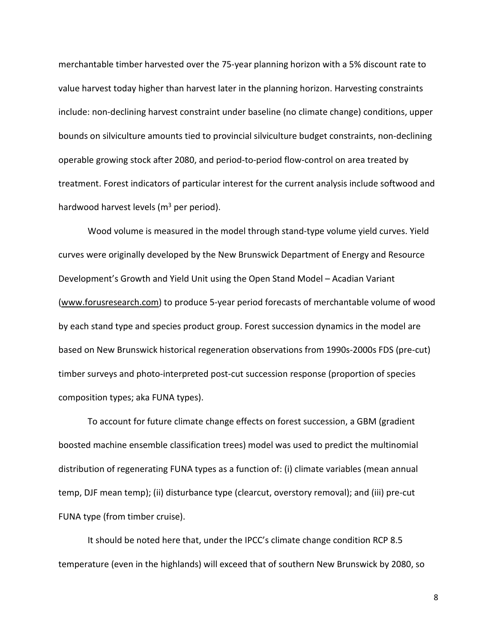merchantable timber harvested over the 75-year planning horizon with a 5% discount rate to value harvest today higher than harvest later in the planning horizon. Harvesting constraints include: non-declining harvest constraint under baseline (no climate change) conditions, upper bounds on silviculture amounts tied to provincial silviculture budget constraints, non-declining operable growing stock after 2080, and period-to-period flow-control on area treated by treatment. Forest indicators of particular interest for the current analysis include softwood and hardwood harvest levels ( $m<sup>3</sup>$  per period).

Wood volume is measured in the model through stand-type volume yield curves. Yield curves were originally developed by the New Brunswick Department of Energy and Resource Development's Growth and Yield Unit using the Open Stand Model – Acadian Variant [\(www.forusresearch.com\)](http://www.forusresearch.com/) to produce 5-year period forecasts of merchantable volume of wood by each stand type and species product group. Forest succession dynamics in the model are based on New Brunswick historical regeneration observations from 1990s-2000s FDS (pre-cut) timber surveys and photo-interpreted post-cut succession response (proportion of species composition types; aka FUNA types).

To account for future climate change effects on forest succession, a GBM (gradient boosted machine ensemble classification trees) model was used to predict the multinomial distribution of regenerating FUNA types as a function of: (i) climate variables (mean annual temp, DJF mean temp); (ii) disturbance type (clearcut, overstory removal); and (iii) pre-cut FUNA type (from timber cruise).

It should be noted here that, under the IPCC's climate change condition RCP 8.5 temperature (even in the highlands) will exceed that of southern New Brunswick by 2080, so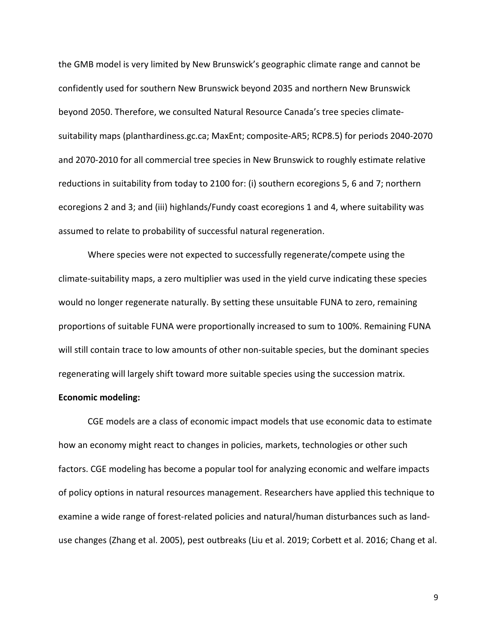the GMB model is very limited by New Brunswick's geographic climate range and cannot be confidently used for southern New Brunswick beyond 2035 and northern New Brunswick beyond 2050. Therefore, we consulted Natural Resource Canada's tree species climatesuitability maps (planthardiness.gc.ca; MaxEnt; composite-AR5; RCP8.5) for periods 2040-2070 and 2070-2010 for all commercial tree species in New Brunswick to roughly estimate relative reductions in suitability from today to 2100 for: (i) southern ecoregions 5, 6 and 7; northern ecoregions 2 and 3; and (iii) highlands/Fundy coast ecoregions 1 and 4, where suitability was assumed to relate to probability of successful natural regeneration.

Where species were not expected to successfully regenerate/compete using the climate-suitability maps, a zero multiplier was used in the yield curve indicating these species would no longer regenerate naturally. By setting these unsuitable FUNA to zero, remaining proportions of suitable FUNA were proportionally increased to sum to 100%. Remaining FUNA will still contain trace to low amounts of other non-suitable species, but the dominant species regenerating will largely shift toward more suitable species using the succession matrix.

#### **Economic modeling:**

CGE models are a class of economic impact models that use economic data to estimate how an economy might react to changes in policies, markets, technologies or other such factors. CGE modeling has become a popular tool for analyzing economic and welfare impacts of policy options in natural resources management. Researchers have applied this technique to examine a wide range of forest-related policies and natural/human disturbances such as landuse changes (Zhang et al. 2005), pest outbreaks (Liu et al. 2019; Corbett et al. 2016; Chang et al.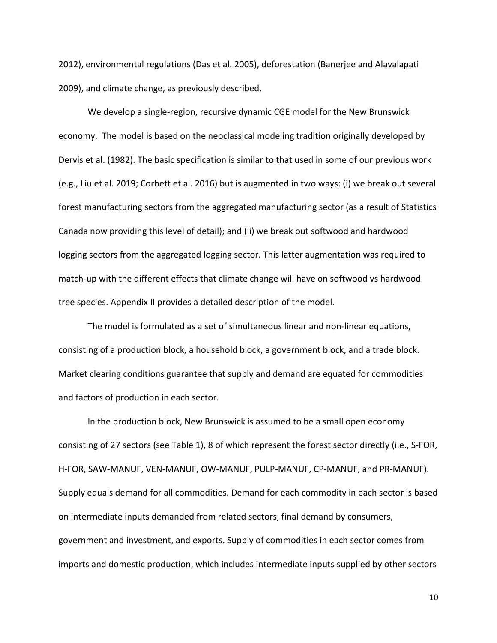2012), environmental regulations (Das et al. 2005), deforestation [\(Banerjee](http://www.sciencedirect.com/science?_ob=RedirectURL&_method=outwardLink&_partnerName=27983&_origin=article&_zone=art_page&_linkType=scopusAuthorDocuments&_targetURL=http%3A%2F%2Fwww.scopus.com%2Fscopus%2Finward%2Fauthor.url%3FpartnerID%3D10%26rel%3D3.0.0%26sortField%3Dcited%26sortOrder%3Dasc%26author%3DBanerjee,%2520Onil%26authorID%3D26634776400%26md5%3D3774904fa2656dd80ec2504288f02d10&_acct=C000051277&_version=1&_userid=1069331&md5=1445d0bfc776e30328ab617d165ce01a) and [Alavalapati](http://www.sciencedirect.com/science?_ob=RedirectURL&_method=outwardLink&_partnerName=27983&_origin=article&_zone=art_page&_linkType=scopusAuthorDocuments&_targetURL=http%3A%2F%2Fwww.scopus.com%2Fscopus%2Finward%2Fauthor.url%3FpartnerID%3D10%26rel%3D3.0.0%26sortField%3Dcited%26sortOrder%3Dasc%26author%3DAlavalapati,%2520Janaki%26authorID%3D6701682565%26md5%3Dfb95093c1f75cb804c304edab2df4d8f&_acct=C000051277&_version=1&_userid=1069331&md5=de6619df5443336f5dbd170e04bc6a83) 2009), and climate change, as previously described.

We develop a single-region, recursive dynamic CGE model for the New Brunswick economy. The model is based on the neoclassical modeling tradition originally developed by Dervis et al. (1982). The basic specification is similar to that used in some of our previous work (e.g., Liu et al. 2019; Corbett et al. 2016) but is augmented in two ways: (i) we break out several forest manufacturing sectors from the aggregated manufacturing sector (as a result of Statistics Canada now providing this level of detail); and (ii) we break out softwood and hardwood logging sectors from the aggregated logging sector. This latter augmentation was required to match-up with the different effects that climate change will have on softwood vs hardwood tree species. Appendix II provides a detailed description of the model.

The model is formulated as a set of simultaneous linear and non-linear equations, consisting of a production block, a household block, a government block, and a trade block. Market clearing conditions guarantee that supply and demand are equated for commodities and factors of production in each sector.

In the production block, New Brunswick is assumed to be a small open economy consisting of 27 sectors (see Table 1), 8 of which represent the forest sector directly (i.e., S-FOR, H-FOR, SAW-MANUF, VEN-MANUF, OW-MANUF, PULP-MANUF, CP-MANUF, and PR-MANUF). Supply equals demand for all commodities. Demand for each commodity in each sector is based on intermediate inputs demanded from related sectors, final demand by consumers, government and investment, and exports. Supply of commodities in each sector comes from imports and domestic production, which includes intermediate inputs supplied by other sectors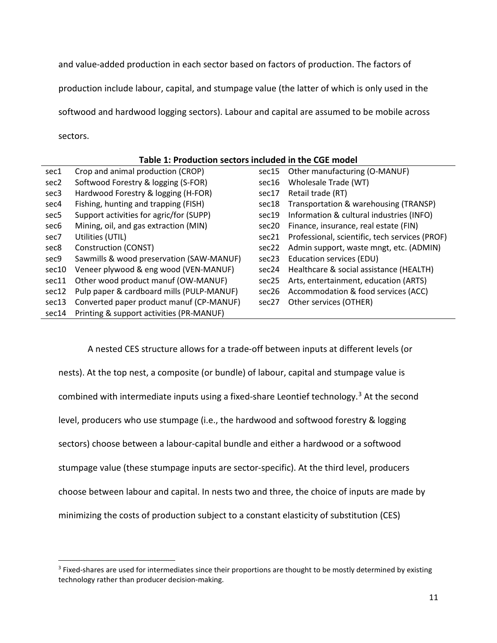and value-added production in each sector based on factors of production. The factors of production include labour, capital, and stumpage value (the latter of which is only used in the softwood and hardwood logging sectors). Labour and capital are assumed to be mobile across sectors.

#### **Table 1: Production sectors included in the CGE model**

| sec1             | Crop and animal production (CROP)         | sec15 | Other manufacturing (O-MANUF)                  |
|------------------|-------------------------------------------|-------|------------------------------------------------|
| sec <sub>2</sub> | Softwood Forestry & logging (S-FOR)       | sec16 | Wholesale Trade (WT)                           |
| sec <sub>3</sub> | Hardwood Forestry & logging (H-FOR)       | sec17 | Retail trade (RT)                              |
| sec4             | Fishing, hunting and trapping (FISH)      | sec18 | Transportation & warehousing (TRANSP)          |
| sec5             | Support activities for agric/for (SUPP)   | sec19 | Information & cultural industries (INFO)       |
| sec6             | Mining, oil, and gas extraction (MIN)     | sec20 | Finance, insurance, real estate (FIN)          |
| sec7             | Utilities (UTIL)                          | sec21 | Professional, scientific, tech services (PROF) |
| sec8             | Construction (CONST)                      | sec22 | Admin support, waste mngt, etc. (ADMIN)        |
| sec9             | Sawmills & wood preservation (SAW-MANUF)  | sec23 | Education services (EDU)                       |
| sec10            | Veneer plywood & eng wood (VEN-MANUF)     | sec24 | Healthcare & social assistance (HEALTH)        |
| sec11            | Other wood product manuf (OW-MANUF)       | sec25 | Arts, entertainment, education (ARTS)          |
| sec12            | Pulp paper & cardboard mills (PULP-MANUF) | sec26 | Accommodation & food services (ACC)            |
| sec13            | Converted paper product manuf (CP-MANUF)  | sec27 | Other services (OTHER)                         |
| sec14            | Printing & support activities (PR-MANUF)  |       |                                                |

A nested CES structure allows for a trade-off between inputs at different levels (or nests). At the top nest, a composite (or bundle) of labour, capital and stumpage value is combined with intermediate inputs using a fixed-share Leontief technology.<sup>[3](#page-10-0)</sup> At the second level, producers who use stumpage (i.e., the hardwood and softwood forestry & logging sectors) choose between a labour-capital bundle and either a hardwood or a softwood stumpage value (these stumpage inputs are sector-specific). At the third level, producers choose between labour and capital. In nests two and three, the choice of inputs are made by minimizing the costs of production subject to a constant elasticity of substitution (CES)

<span id="page-10-0"></span><sup>&</sup>lt;sup>3</sup> Fixed-shares are used for intermediates since their proportions are thought to be mostly determined by existing technology rather than producer decision-making.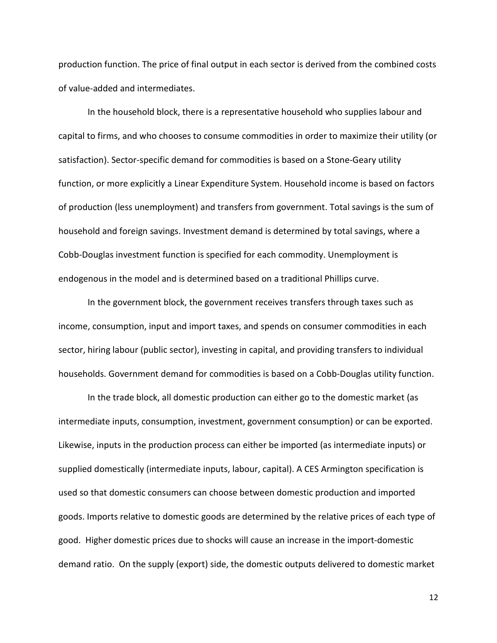production function. The price of final output in each sector is derived from the combined costs of value-added and intermediates.

In the household block, there is a representative household who supplies labour and capital to firms, and who chooses to consume commodities in order to maximize their utility (or satisfaction). Sector-specific demand for commodities is based on a Stone-Geary utility function, or more explicitly a Linear Expenditure System. Household income is based on factors of production (less unemployment) and transfers from government. Total savings is the sum of household and foreign savings. Investment demand is determined by total savings, where a Cobb-Douglas investment function is specified for each commodity. Unemployment is endogenous in the model and is determined based on a traditional Phillips curve.

In the government block, the government receives transfers through taxes such as income, consumption, input and import taxes, and spends on consumer commodities in each sector, hiring labour (public sector), investing in capital, and providing transfers to individual households. Government demand for commodities is based on a Cobb-Douglas utility function.

In the trade block, all domestic production can either go to the domestic market (as intermediate inputs, consumption, investment, government consumption) or can be exported. Likewise, inputs in the production process can either be imported (as intermediate inputs) or supplied domestically (intermediate inputs, labour, capital). A CES Armington specification is used so that domestic consumers can choose between domestic production and imported goods. Imports relative to domestic goods are determined by the relative prices of each type of good. Higher domestic prices due to shocks will cause an increase in the import-domestic demand ratio. On the supply (export) side, the domestic outputs delivered to domestic market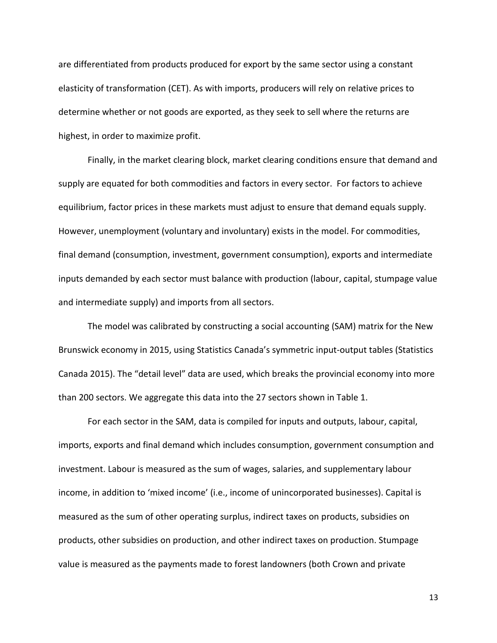are differentiated from products produced for export by the same sector using a constant elasticity of transformation (CET). As with imports, producers will rely on relative prices to determine whether or not goods are exported, as they seek to sell where the returns are highest, in order to maximize profit.

Finally, in the market clearing block, market clearing conditions ensure that demand and supply are equated for both commodities and factors in every sector. For factors to achieve equilibrium, factor prices in these markets must adjust to ensure that demand equals supply. However, unemployment (voluntary and involuntary) exists in the model. For commodities, final demand (consumption, investment, government consumption), exports and intermediate inputs demanded by each sector must balance with production (labour, capital, stumpage value and intermediate supply) and imports from all sectors.

The model was calibrated by constructing a social accounting (SAM) matrix for the New Brunswick economy in 2015, using Statistics Canada's symmetric input-output tables (Statistics Canada 2015). The "detail level" data are used, which breaks the provincial economy into more than 200 sectors. We aggregate this data into the 27 sectors shown in Table 1.

For each sector in the SAM, data is compiled for inputs and outputs, labour, capital, imports, exports and final demand which includes consumption, government consumption and investment. Labour is measured as the sum of wages, salaries, and supplementary labour income, in addition to 'mixed income' (i.e., income of unincorporated businesses). Capital is measured as the sum of other operating surplus, indirect taxes on products, subsidies on products, other subsidies on production, and other indirect taxes on production. Stumpage value is measured as the payments made to forest landowners (both Crown and private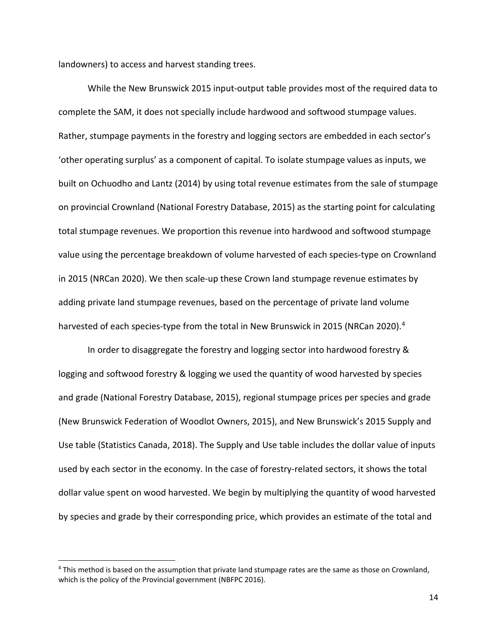landowners) to access and harvest standing trees.

While the New Brunswick 2015 input-output table provides most of the required data to complete the SAM, it does not specially include hardwood and softwood stumpage values. Rather, stumpage payments in the forestry and logging sectors are embedded in each sector's 'other operating surplus' as a component of capital. To isolate stumpage values as inputs, we built on Ochuodho and Lantz (2014) by using total revenue estimates from the sale of stumpage on provincial Crownland (National Forestry Database, 2015) as the starting point for calculating total stumpage revenues. We proportion this revenue into hardwood and softwood stumpage value using the percentage breakdown of volume harvested of each species-type on Crownland in 2015 (NRCan 2020). We then scale-up these Crown land stumpage revenue estimates by adding private land stumpage revenues, based on the percentage of private land volume harvested of each species-type from the total in New Brunswick in 2015 (NRCan 2020).<sup>[4](#page-13-0)</sup>

In order to disaggregate the forestry and logging sector into hardwood forestry & logging and softwood forestry & logging we used the quantity of wood harvested by species and grade (National Forestry Database, 2015), regional stumpage prices per species and grade (New Brunswick Federation of Woodlot Owners, 2015), and New Brunswick's 2015 Supply and Use table (Statistics Canada, 2018). The Supply and Use table includes the dollar value of inputs used by each sector in the economy. In the case of forestry-related sectors, it shows the total dollar value spent on wood harvested. We begin by multiplying the quantity of wood harvested by species and grade by their corresponding price, which provides an estimate of the total and

<span id="page-13-0"></span><sup>4</sup> This method is based on the assumption that private land stumpage rates are the same as those on Crownland, which is the policy of the Provincial government (NBFPC 2016).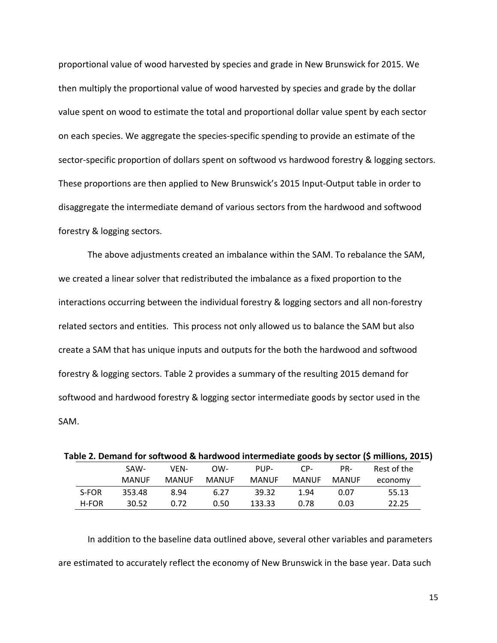proportional value of wood harvested by species and grade in New Brunswick for 2015. We then multiply the proportional value of wood harvested by species and grade by the dollar value spent on wood to estimate the total and proportional dollar value spent by each sector on each species. We aggregate the species-specific spending to provide an estimate of the sector-specific proportion of dollars spent on softwood vs hardwood forestry & logging sectors. These proportions are then applied to New Brunswick's 2015 Input-Output table in order to disaggregate the intermediate demand of various sectors from the hardwood and softwood forestry & logging sectors.

The above adjustments created an imbalance within the SAM. To rebalance the SAM, we created a linear solver that redistributed the imbalance as a fixed proportion to the interactions occurring between the individual forestry & logging sectors and all non-forestry related sectors and entities. This process not only allowed us to balance the SAM but also create a SAM that has unique inputs and outputs for the both the hardwood and softwood forestry & logging sectors. Table 2 provides a summary of the resulting 2015 demand for softwood and hardwood forestry & logging sector intermediate goods by sector used in the SAM.

|       |              |              |              |              |       |              | Table 2. Demand for softwood & hardwood intermediate goods by sector (\$ millions, 2015) |
|-------|--------------|--------------|--------------|--------------|-------|--------------|------------------------------------------------------------------------------------------|
|       | SAW-         | VFN-         | OW-          | PUP-         | CP-   | PR-          | Rest of the                                                                              |
|       | <b>MANUF</b> | <b>MANUF</b> | <b>MANUF</b> | <b>MANUF</b> | MANUF | <b>MANUF</b> | economy                                                                                  |
| S-FOR | 353.48       | 8.94         | 6.27         | 39.32        | 1.94  | 0.07         | 55.13                                                                                    |
| H-FOR | 30.52        | 0.72         | 0.50         | 133.33       | 0.78  | 0.03         | 22.25                                                                                    |

In addition to the baseline data outlined above, several other variables and parameters are estimated to accurately reflect the economy of New Brunswick in the base year. Data such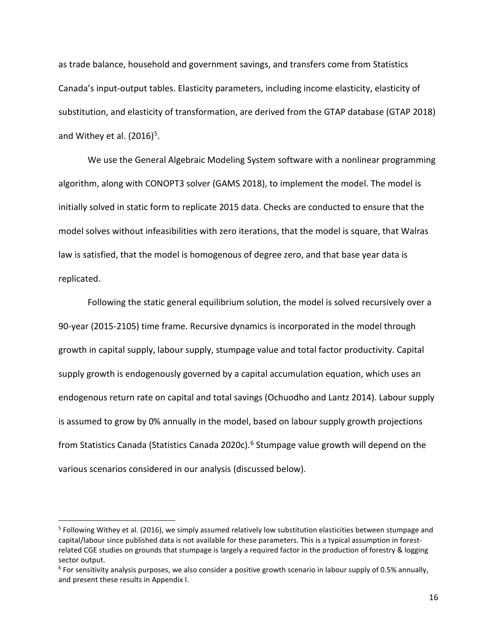as trade balance, household and government savings, and transfers come from Statistics Canada's input-output tables. Elasticity parameters, including income elasticity, elasticity of substitution, and elasticity of transformation, are derived from the GTAP database (GTAP 2018) and Withey et al.  $(2016)^5$  $(2016)^5$ .

We use the General Algebraic Modeling System software with a nonlinear programming algorithm, along with CONOPT3 solver (GAMS 2018), to implement the model. The model is initially solved in static form to replicate 2015 data. Checks are conducted to ensure that the model solves without infeasibilities with zero iterations, that the model is square, that Walras law is satisfied, that the model is homogenous of degree zero, and that base year data is replicated.

Following the static general equilibrium solution, the model is solved recursively over a 90-year (2015-2105) time frame. Recursive dynamics is incorporated in the model through growth in capital supply, labour supply, stumpage value and total factor productivity. Capital supply growth is endogenously governed by a capital accumulation equation, which uses an endogenous return rate on capital and total savings (Ochuodho and Lantz 2014). Labour supply is assumed to grow by 0% annually in the model, based on labour supply growth projections from Statistics Canada (Statistics Canada 2020c).<sup>[6](#page-15-1)</sup> Stumpage value growth will depend on the various scenarios considered in our analysis (discussed below).

<span id="page-15-0"></span><sup>5</sup> Following Withey et al. (2016), we simply assumed relatively low substitution elasticities between stumpage and capital/labour since published data is not available for these parameters. This is a typical assumption in forestrelated CGE studies on grounds that stumpage is largely a required factor in the production of forestry & logging sector output.

<span id="page-15-1"></span> $6$  For sensitivity analysis purposes, we also consider a positive growth scenario in labour supply of 0.5% annually, and present these results in Appendix I.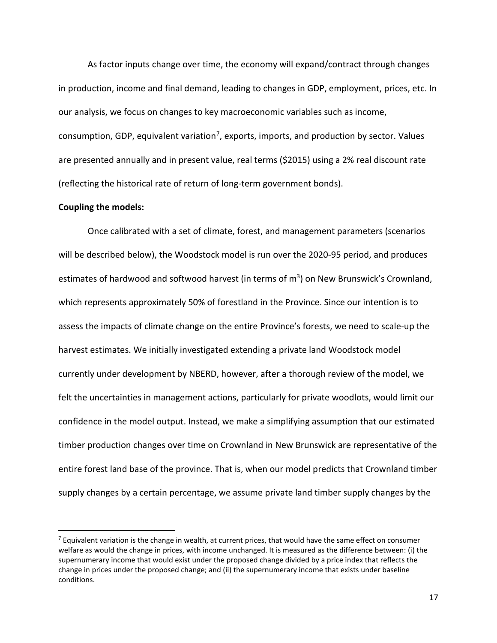As factor inputs change over time, the economy will expand/contract through changes in production, income and final demand, leading to changes in GDP, employment, prices, etc. In our analysis, we focus on changes to key macroeconomic variables such as income, consumption, GDP, equivalent variation<sup>7</sup>, exports, imports, and production by sector. Values are presented annually and in present value, real terms (\$2015) using a 2% real discount rate (reflecting the historical rate of return of long-term government bonds).

#### **Coupling the models:**

Once calibrated with a set of climate, forest, and management parameters (scenarios will be described below), the Woodstock model is run over the 2020-95 period, and produces estimates of hardwood and softwood harvest (in terms of  $m<sup>3</sup>$ ) on New Brunswick's Crownland, which represents approximately 50% of forestland in the Province. Since our intention is to assess the impacts of climate change on the entire Province's forests, we need to scale-up the harvest estimates. We initially investigated extending a private land Woodstock model currently under development by NBERD, however, after a thorough review of the model, we felt the uncertainties in management actions, particularly for private woodlots, would limit our confidence in the model output. Instead, we make a simplifying assumption that our estimated timber production changes over time on Crownland in New Brunswick are representative of the entire forest land base of the province. That is, when our model predicts that Crownland timber supply changes by a certain percentage, we assume private land timber supply changes by the

<span id="page-16-0"></span> $<sup>7</sup>$  Equivalent variation is the change in wealth, at current prices, that would have the same effect on consumer</sup> welfare as would the change in prices, with income unchanged. It is measured as the difference between: (i) the supernumerary income that would exist under the proposed change divided by a price index that reflects the change in prices under the proposed change; and (ii) the supernumerary income that exists under baseline conditions.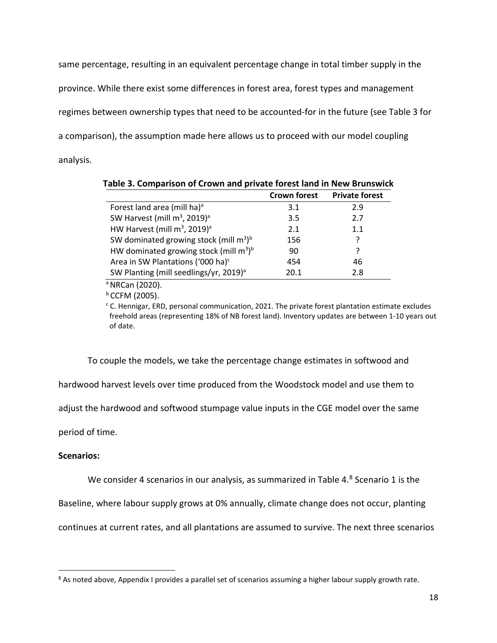same percentage, resulting in an equivalent percentage change in total timber supply in the province. While there exist some differences in forest area, forest types and management regimes between ownership types that need to be accounted-for in the future (see Table 3 for a comparison), the assumption made here allows us to proceed with our model coupling analysis.

|                                                       | <b>Crown forest</b> | <b>Private forest</b> |
|-------------------------------------------------------|---------------------|-----------------------|
| Forest land area (mill ha) <sup>a</sup>               | 3.1                 | 2.9                   |
| SW Harvest (mill m <sup>3</sup> , 2019) <sup>a</sup>  | 3.5                 | 2.7                   |
| HW Harvest (mill $m^3$ , 2019) <sup>a</sup>           | 2.1                 | 1.1                   |
| SW dominated growing stock (mill $m^3$ ) <sup>b</sup> | 156                 | ?                     |
| HW dominated growing stock (mill $m^3$ ) <sup>b</sup> | 90                  | 7                     |
| Area in SW Plantations ('000 ha) <sup>c</sup>         | 454                 | 46                    |
| SW Planting (mill seedlings/yr, 2019) <sup>a</sup>    | 20.1                | 2.8                   |

**Table 3. Comparison of Crown and private forest land in New Brunswick**

a NRCan (2020).

 $b$  CCFM (2005).

 $c$  C. Hennigar, ERD, personal communication, 2021. The private forest plantation estimate excludes freehold areas (representing 18% of NB forest land). Inventory updates are between 1-10 years out of date.

To couple the models, we take the percentage change estimates in softwood and

hardwood harvest levels over time produced from the Woodstock model and use them to

adjust the hardwood and softwood stumpage value inputs in the CGE model over the same

period of time.

#### **Scenarios:**

We consider 4 scenarios in our analysis, as summarized in Table 4. $8$  Scenario 1 is the

Baseline, where labour supply grows at 0% annually, climate change does not occur, planting

continues at current rates, and all plantations are assumed to survive. The next three scenarios

<span id="page-17-0"></span><sup>&</sup>lt;sup>8</sup> As noted above, Appendix I provides a parallel set of scenarios assuming a higher labour supply growth rate.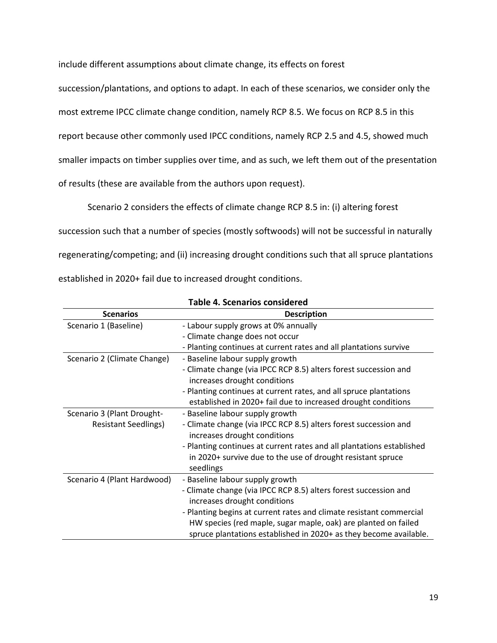include different assumptions about climate change, its effects on forest

succession/plantations, and options to adapt. In each of these scenarios, we consider only the

most extreme IPCC climate change condition, namely RCP 8.5. We focus on RCP 8.5 in this

report because other commonly used IPCC conditions, namely RCP 2.5 and 4.5, showed much

smaller impacts on timber supplies over time, and as such, we left them out of the presentation

of results (these are available from the authors upon request).

Scenario 2 considers the effects of climate change RCP 8.5 in: (i) altering forest

succession such that a number of species (mostly softwoods) will not be successful in naturally

regenerating/competing; and (ii) increasing drought conditions such that all spruce plantations

established in 2020+ fail due to increased drought conditions.

| <b>Scenarios</b>            |                                                                       |
|-----------------------------|-----------------------------------------------------------------------|
|                             | <b>Description</b>                                                    |
| Scenario 1 (Baseline)       | - Labour supply grows at 0% annually                                  |
|                             | - Climate change does not occur                                       |
|                             | - Planting continues at current rates and all plantations survive     |
| Scenario 2 (Climate Change) | - Baseline labour supply growth                                       |
|                             | - Climate change (via IPCC RCP 8.5) alters forest succession and      |
|                             | increases drought conditions                                          |
|                             | - Planting continues at current rates, and all spruce plantations     |
|                             | established in 2020+ fail due to increased drought conditions         |
| Scenario 3 (Plant Drought-  | - Baseline labour supply growth                                       |
| <b>Resistant Seedlings)</b> | - Climate change (via IPCC RCP 8.5) alters forest succession and      |
|                             | increases drought conditions                                          |
|                             | - Planting continues at current rates and all plantations established |
|                             | in 2020+ survive due to the use of drought resistant spruce           |
|                             | seedlings                                                             |
| Scenario 4 (Plant Hardwood) | - Baseline labour supply growth                                       |
|                             | - Climate change (via IPCC RCP 8.5) alters forest succession and      |
|                             | increases drought conditions                                          |
|                             | - Planting begins at current rates and climate resistant commercial   |
|                             | HW species (red maple, sugar maple, oak) are planted on failed        |
|                             | spruce plantations established in 2020+ as they become available.     |

**Table 4. Scenarios considered**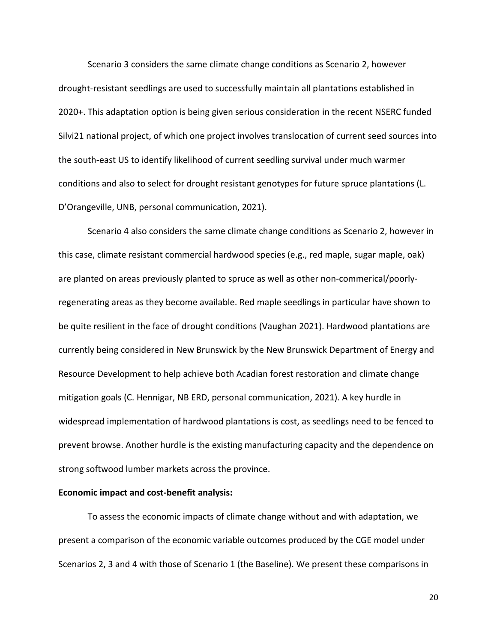Scenario 3 considers the same climate change conditions as Scenario 2, however drought-resistant seedlings are used to successfully maintain all plantations established in 2020+. This adaptation option is being given serious consideration in the recent NSERC funded Silvi21 national project, of which one project involves translocation of current seed sources into the south-east US to identify likelihood of current seedling survival under much warmer conditions and also to select for drought resistant genotypes for future spruce plantations (L. D'Orangeville, UNB, personal communication, 2021).

Scenario 4 also considers the same climate change conditions as Scenario 2, however in this case, climate resistant commercial hardwood species (e.g., red maple, sugar maple, oak) are planted on areas previously planted to spruce as well as other non-commerical/poorlyregenerating areas as they become available. Red maple seedlings in particular have shown to be quite resilient in the face of drought conditions (Vaughan 2021). Hardwood plantations are currently being considered in New Brunswick by the New Brunswick Department of Energy and Resource Development to help achieve both Acadian forest restoration and climate change mitigation goals (C. Hennigar, NB ERD, personal communication, 2021). A key hurdle in widespread implementation of hardwood plantations is cost, as seedlings need to be fenced to prevent browse. Another hurdle is the existing manufacturing capacity and the dependence on strong softwood lumber markets across the province.

#### **Economic impact and cost-benefit analysis:**

To assess the economic impacts of climate change without and with adaptation, we present a comparison of the economic variable outcomes produced by the CGE model under Scenarios 2, 3 and 4 with those of Scenario 1 (the Baseline). We present these comparisons in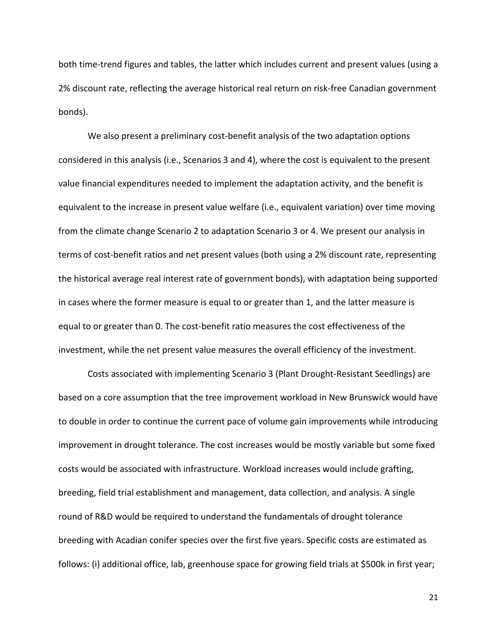both time-trend figures and tables, the latter which includes current and present values (using a 2% discount rate, reflecting the average historical real return on risk-free Canadian government bonds).

We also present a preliminary cost-benefit analysis of the two adaptation options considered in this analysis (i.e., Scenarios 3 and 4), where the cost is equivalent to the present value financial expenditures needed to implement the adaptation activity, and the benefit is equivalent to the increase in present value welfare (i.e., equivalent variation) over time moving from the climate change Scenario 2 to adaptation Scenario 3 or 4. We present our analysis in terms of cost-benefit ratios and net present values (both using a 2% discount rate, representing the historical average real interest rate of government bonds), with adaptation being supported in cases where the former measure is equal to or greater than 1, and the latter measure is equal to or greater than 0. The cost-benefit ratio measures the cost effectiveness of the investment, while the net present value measures the overall efficiency of the investment.

Costs associated with implementing Scenario 3 (Plant Drought-Resistant Seedlings) are based on a core assumption that the tree improvement workload in New Brunswick would have to double in order to continue the current pace of volume gain improvements while introducing improvement in drought tolerance. The cost increases would be mostly variable but some fixed costs would be associated with infrastructure. Workload increases would include grafting, breeding, field trial establishment and management, data collection, and analysis. A single round of R&D would be required to understand the fundamentals of drought tolerance breeding with Acadian conifer species over the first five years. Specific costs are estimated as follows: (i) additional office, lab, greenhouse space for growing field trials at \$500k in first year;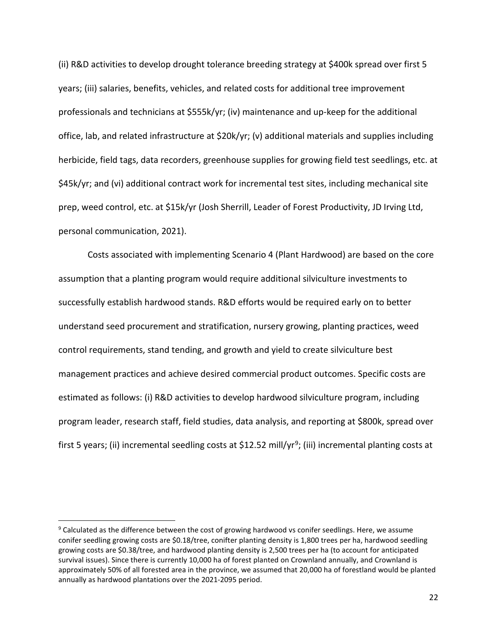(ii) R&D activities to develop drought tolerance breeding strategy at \$400k spread over first 5 years; (iii) salaries, benefits, vehicles, and related costs for additional tree improvement professionals and technicians at \$555k/yr; (iv) maintenance and up-keep for the additional office, lab, and related infrastructure at \$20k/yr; (v) additional materials and supplies including herbicide, field tags, data recorders, greenhouse supplies for growing field test seedlings, etc. at \$45k/yr; and (vi) additional contract work for incremental test sites, including mechanical site prep, weed control, etc. at \$15k/yr (Josh Sherrill, Leader of Forest Productivity, JD Irving Ltd, personal communication, 2021).

Costs associated with implementing Scenario 4 (Plant Hardwood) are based on the core assumption that a planting program would require additional silviculture investments to successfully establish hardwood stands. R&D efforts would be required early on to better understand seed procurement and stratification, nursery growing, planting practices, weed control requirements, stand tending, and growth and yield to create silviculture best management practices and achieve desired commercial product outcomes. Specific costs are estimated as follows: (i) R&D activities to develop hardwood silviculture program, including program leader, research staff, field studies, data analysis, and reporting at \$800k, spread over first 5 years; (ii) incremental seedling costs at \$12.52 mill/yr<sup>9</sup>; (iii) incremental planting costs at

<span id="page-21-0"></span><sup>&</sup>lt;sup>9</sup> Calculated as the difference between the cost of growing hardwood vs conifer seedlings. Here, we assume conifer seedling growing costs are \$0.18/tree, conifter planting density is 1,800 trees per ha, hardwood seedling growing costs are \$0.38/tree, and hardwood planting density is 2,500 trees per ha (to account for anticipated survival issues). Since there is currently 10,000 ha of forest planted on Crownland annually, and Crownland is approximately 50% of all forested area in the province, we assumed that 20,000 ha of forestland would be planted annually as hardwood plantations over the 2021-2095 period.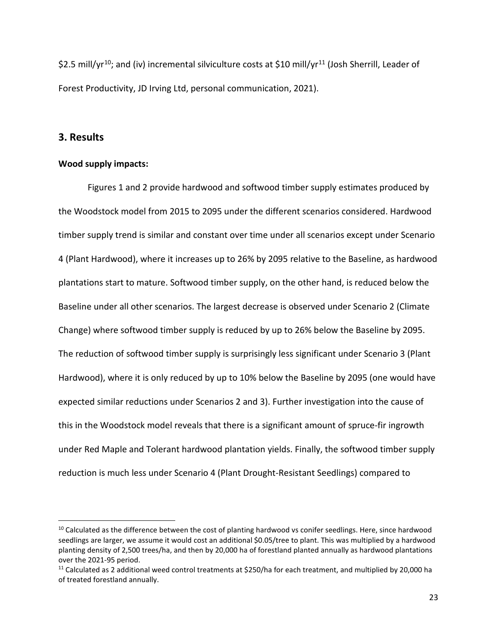\$2.5 mill/yr<sup>10</sup>; and (iv) incremental silviculture costs at \$10 mill/yr<sup>[11](#page-22-1)</sup> (Josh Sherrill, Leader of Forest Productivity, JD Irving Ltd, personal communication, 2021).

### **3. Results**

#### **Wood supply impacts:**

Figures 1 and 2 provide hardwood and softwood timber supply estimates produced by the Woodstock model from 2015 to 2095 under the different scenarios considered. Hardwood timber supply trend is similar and constant over time under all scenarios except under Scenario 4 (Plant Hardwood), where it increases up to 26% by 2095 relative to the Baseline, as hardwood plantations start to mature. Softwood timber supply, on the other hand, is reduced below the Baseline under all other scenarios. The largest decrease is observed under Scenario 2 (Climate Change) where softwood timber supply is reduced by up to 26% below the Baseline by 2095. The reduction of softwood timber supply is surprisingly less significant under Scenario 3 (Plant Hardwood), where it is only reduced by up to 10% below the Baseline by 2095 (one would have expected similar reductions under Scenarios 2 and 3). Further investigation into the cause of this in the Woodstock model reveals that there is a significant amount of spruce-fir ingrowth under Red Maple and Tolerant hardwood plantation yields. Finally, the softwood timber supply reduction is much less under Scenario 4 (Plant Drought-Resistant Seedlings) compared to

<span id="page-22-0"></span><sup>&</sup>lt;sup>10</sup> Calculated as the difference between the cost of planting hardwood vs conifer seedlings. Here, since hardwood seedlings are larger, we assume it would cost an additional \$0.05/tree to plant. This was multiplied by a hardwood planting density of 2,500 trees/ha, and then by 20,000 ha of forestland planted annually as hardwood plantations over the 2021-95 period.<br><sup>11</sup> Calculated as 2 additional weed control treatments at \$250/ha for each treatment, and multiplied by 20,000 ha

<span id="page-22-1"></span>of treated forestland annually.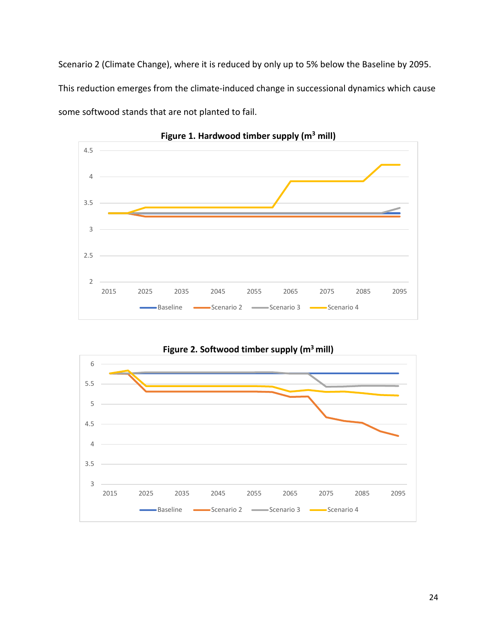Scenario 2 (Climate Change), where it is reduced by only up to 5% below the Baseline by 2095. This reduction emerges from the climate-induced change in successional dynamics which cause some softwood stands that are not planted to fail.



**Figure 1. Hardwood timber supply (m3 mill)**



24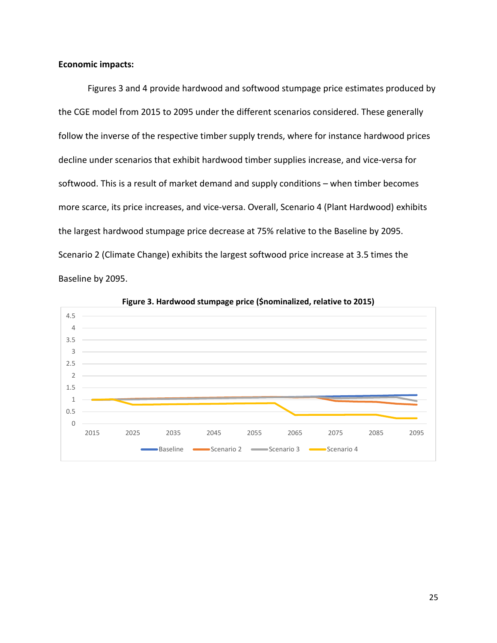#### **Economic impacts:**

Figures 3 and 4 provide hardwood and softwood stumpage price estimates produced by the CGE model from 2015 to 2095 under the different scenarios considered. These generally follow the inverse of the respective timber supply trends, where for instance hardwood prices decline under scenarios that exhibit hardwood timber supplies increase, and vice-versa for softwood. This is a result of market demand and supply conditions – when timber becomes more scarce, its price increases, and vice-versa. Overall, Scenario 4 (Plant Hardwood) exhibits the largest hardwood stumpage price decrease at 75% relative to the Baseline by 2095. Scenario 2 (Climate Change) exhibits the largest softwood price increase at 3.5 times the Baseline by 2095.



**Figure 3. Hardwood stumpage price (\$nominalized, relative to 2015)**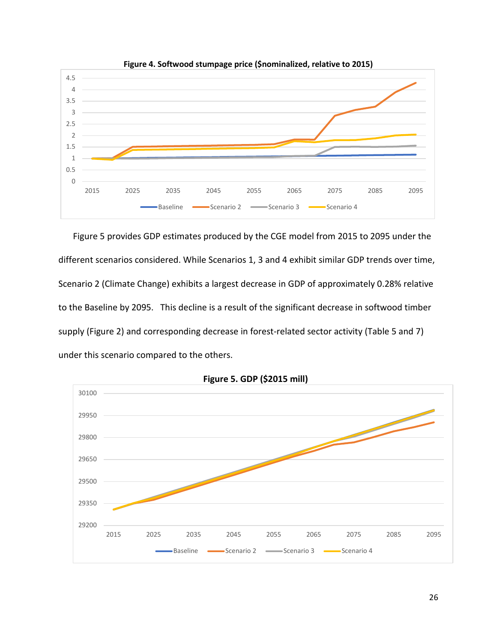

**Figure 4. Softwood stumpage price (\$nominalized, relative to 2015)**

Figure 5 provides GDP estimates produced by the CGE model from 2015 to 2095 under the different scenarios considered. While Scenarios 1, 3 and 4 exhibit similar GDP trends over time, Scenario 2 (Climate Change) exhibits a largest decrease in GDP of approximately 0.28% relative to the Baseline by 2095. This decline is a result of the significant decrease in softwood timber supply (Figure 2) and corresponding decrease in forest-related sector activity (Table 5 and 7) under this scenario compared to the others.



**Figure 5. GDP (\$2015 mill)**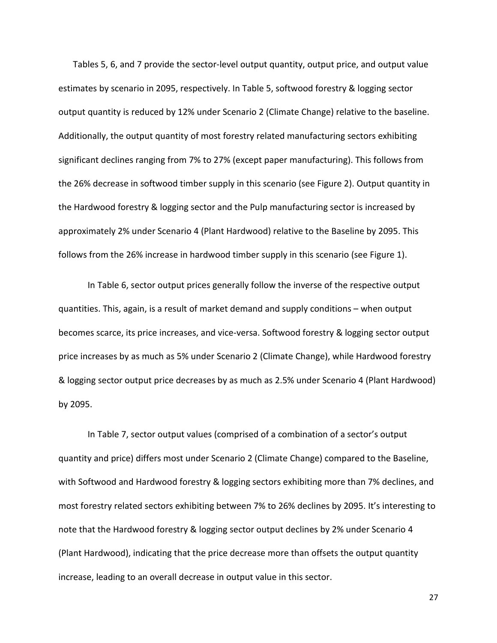Tables 5, 6, and 7 provide the sector-level output quantity, output price, and output value estimates by scenario in 2095, respectively. In Table 5, softwood forestry & logging sector output quantity is reduced by 12% under Scenario 2 (Climate Change) relative to the baseline. Additionally, the output quantity of most forestry related manufacturing sectors exhibiting significant declines ranging from 7% to 27% (except paper manufacturing). This follows from the 26% decrease in softwood timber supply in this scenario (see Figure 2). Output quantity in the Hardwood forestry & logging sector and the Pulp manufacturing sector is increased by approximately 2% under Scenario 4 (Plant Hardwood) relative to the Baseline by 2095. This follows from the 26% increase in hardwood timber supply in this scenario (see Figure 1).

In Table 6, sector output prices generally follow the inverse of the respective output quantities. This, again, is a result of market demand and supply conditions – when output becomes scarce, its price increases, and vice-versa. Softwood forestry & logging sector output price increases by as much as 5% under Scenario 2 (Climate Change), while Hardwood forestry & logging sector output price decreases by as much as 2.5% under Scenario 4 (Plant Hardwood) by 2095.

In Table 7, sector output values (comprised of a combination of a sector's output quantity and price) differs most under Scenario 2 (Climate Change) compared to the Baseline, with Softwood and Hardwood forestry & logging sectors exhibiting more than 7% declines, and most forestry related sectors exhibiting between 7% to 26% declines by 2095. It's interesting to note that the Hardwood forestry & logging sector output declines by 2% under Scenario 4 (Plant Hardwood), indicating that the price decrease more than offsets the output quantity increase, leading to an overall decrease in output value in this sector.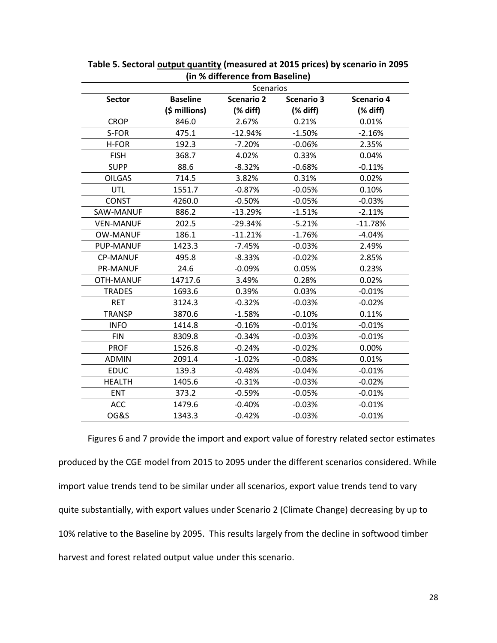| <b>Sector</b>    | <b>Baseline</b> | <b>Scenario 2</b> |                   |                   |
|------------------|-----------------|-------------------|-------------------|-------------------|
|                  |                 |                   | <b>Scenario 3</b> | <b>Scenario 4</b> |
|                  | (\$ millions)   | (% diff)          | (% diff)          | (% diff)          |
| <b>CROP</b>      | 846.0           | 2.67%             | 0.21%             | 0.01%             |
| S-FOR            | 475.1           | $-12.94%$         | $-1.50%$          | $-2.16%$          |
| H-FOR            | 192.3           | $-7.20%$          | $-0.06%$          | 2.35%             |
| <b>FISH</b>      | 368.7           | 4.02%             | 0.33%             | 0.04%             |
| <b>SUPP</b>      | 88.6            | $-8.32%$          | $-0.68%$          | $-0.11%$          |
| <b>OILGAS</b>    | 714.5           | 3.82%             | 0.31%             | 0.02%             |
| UTL              | 1551.7          | $-0.87%$          | $-0.05%$          | 0.10%             |
| <b>CONST</b>     | 4260.0          | $-0.50%$          | $-0.05%$          | $-0.03%$          |
| SAW-MANUF        | 886.2           | $-13.29%$         | $-1.51%$          | $-2.11%$          |
| <b>VEN-MANUF</b> | 202.5           | $-29.34%$         | $-5.21%$          | $-11.78%$         |
| <b>OW-MANUF</b>  | 186.1           | $-11.21%$         | $-1.76%$          | $-4.04%$          |
| <b>PUP-MANUF</b> | 1423.3          | $-7.45%$          | $-0.03%$          | 2.49%             |
| <b>CP-MANUF</b>  | 495.8           | $-8.33%$          | $-0.02%$          | 2.85%             |
| <b>PR-MANUF</b>  | 24.6            | $-0.09%$          | 0.05%             | 0.23%             |
| OTH-MANUF        | 14717.6         | 3.49%             | 0.28%             | 0.02%             |
| <b>TRADES</b>    | 1693.6          | 0.39%             | 0.03%             | $-0.01%$          |
| <b>RET</b>       | 3124.3          | $-0.32%$          | $-0.03%$          | $-0.02%$          |
| <b>TRANSP</b>    | 3870.6          | $-1.58%$          | $-0.10%$          | 0.11%             |
| <b>INFO</b>      | 1414.8          | $-0.16%$          | $-0.01%$          | $-0.01%$          |
| <b>FIN</b>       | 8309.8          | $-0.34%$          | $-0.03%$          | $-0.01%$          |
| <b>PROF</b>      | 1526.8          | $-0.24%$          | $-0.02%$          | 0.00%             |
| <b>ADMIN</b>     | 2091.4          | $-1.02%$          | $-0.08%$          | 0.01%             |
| <b>EDUC</b>      | 139.3           | $-0.48%$          | $-0.04%$          | $-0.01%$          |
| <b>HEALTH</b>    | 1405.6          | $-0.31%$          | $-0.03%$          | $-0.02%$          |
| <b>ENT</b>       | 373.2           | $-0.59%$          | $-0.05%$          | $-0.01%$          |
| <b>ACC</b>       | 1479.6          | $-0.40%$          | $-0.03%$          | $-0.01%$          |
| OG&S             | 1343.3          | $-0.42%$          | $-0.03%$          | $-0.01%$          |

**Table 5. Sectoral output quantity (measured at 2015 prices) by scenario in 2095 (in % difference from Baseline)**

Figures 6 and 7 provide the import and export value of forestry related sector estimates produced by the CGE model from 2015 to 2095 under the different scenarios considered. While import value trends tend to be similar under all scenarios, export value trends tend to vary quite substantially, with export values under Scenario 2 (Climate Change) decreasing by up to 10% relative to the Baseline by 2095. This results largely from the decline in softwood timber harvest and forest related output value under this scenario.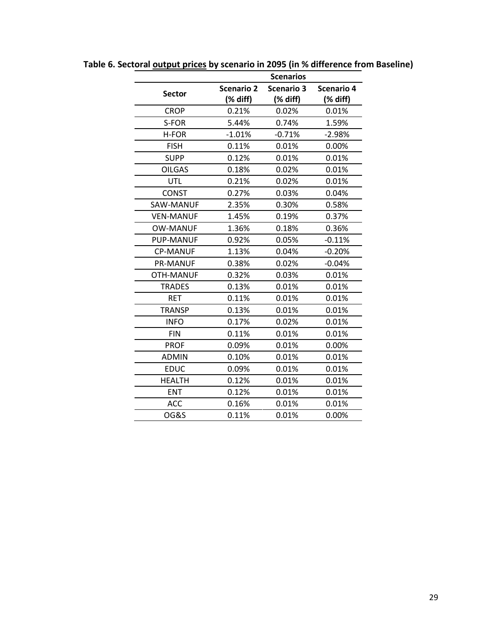|                  |                   | <b>Scenarios</b>  |                   |
|------------------|-------------------|-------------------|-------------------|
|                  | <b>Scenario 2</b> | <b>Scenario 3</b> | <b>Scenario 4</b> |
| <b>Sector</b>    | (% diff)          | (% diff)          | (% diff)          |
| <b>CROP</b>      | 0.21%             | 0.02%             | 0.01%             |
| S-FOR            | 5.44%             | 0.74%             | 1.59%             |
| H-FOR            | $-1.01%$          | $-0.71%$          | $-2.98%$          |
| <b>FISH</b>      | 0.11%             | 0.01%             | 0.00%             |
| <b>SUPP</b>      | 0.12%             | 0.01%             | 0.01%             |
| <b>OILGAS</b>    | 0.18%             | 0.02%             | 0.01%             |
| <b>UTL</b>       | 0.21%             | 0.02%             | 0.01%             |
| <b>CONST</b>     | 0.27%             | 0.03%             | 0.04%             |
| SAW-MANUF        | 2.35%             | 0.30%             | 0.58%             |
| <b>VEN-MANUF</b> | 1.45%             | 0.19%             | 0.37%             |
| <b>OW-MANUF</b>  | 1.36%             | 0.18%             | 0.36%             |
| PUP-MANUF        | 0.92%             | 0.05%             | $-0.11%$          |
| <b>CP-MANUF</b>  | 1.13%             | 0.04%             | $-0.20%$          |
| <b>PR-MANUF</b>  | 0.38%             | 0.02%             | $-0.04\%$         |
| OTH-MANUF        | 0.32%             | 0.03%             | 0.01%             |
| <b>TRADES</b>    | 0.13%             | 0.01%             | 0.01%             |
| <b>RET</b>       | 0.11%             | 0.01%             | 0.01%             |
| <b>TRANSP</b>    | 0.13%             | 0.01%             | 0.01%             |
| <b>INFO</b>      | 0.17%             | 0.02%             | 0.01%             |
| <b>FIN</b>       | 0.11%             | 0.01%             | 0.01%             |
| <b>PROF</b>      | 0.09%             | 0.01%             | 0.00%             |
| <b>ADMIN</b>     | 0.10%             | 0.01%             | 0.01%             |
| <b>EDUC</b>      | 0.09%             | 0.01%             | 0.01%             |
| <b>HEALTH</b>    | 0.12%             | 0.01%             | 0.01%             |
| <b>ENT</b>       | 0.12%             | 0.01%             | 0.01%             |
| <b>ACC</b>       | 0.16%             | 0.01%             | 0.01%             |
| <b>OG&amp;S</b>  | 0.11%             | 0.01%             | 0.00%             |

**Table 6. Sectoral output prices by scenario in 2095 (in % difference from Baseline)**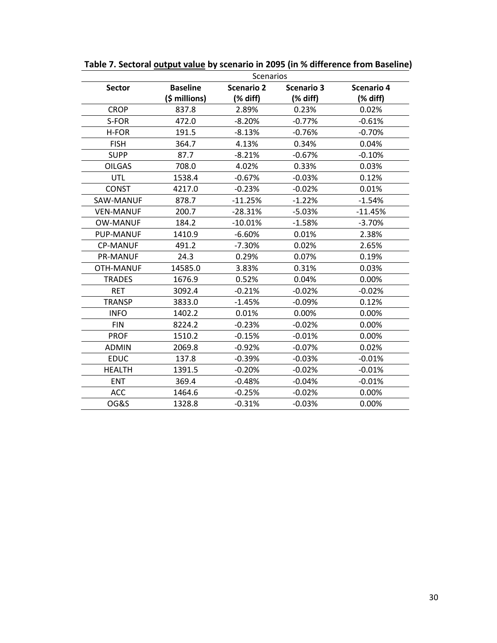|                  | Scenarios       |                   |                   |                   |  |
|------------------|-----------------|-------------------|-------------------|-------------------|--|
| <b>Sector</b>    | <b>Baseline</b> | <b>Scenario 2</b> | <b>Scenario 3</b> | <b>Scenario 4</b> |  |
|                  | (\$ millions)   | (% diff)          | (% diff)          | (% diff)          |  |
| <b>CROP</b>      | 837.8           | 2.89%             | 0.23%             | 0.02%             |  |
| S-FOR            | 472.0           | $-8.20%$          | $-0.77%$          | $-0.61%$          |  |
| H-FOR            | 191.5           | -8.13%            | $-0.76%$          | $-0.70%$          |  |
| <b>FISH</b>      | 364.7           | 4.13%             | 0.34%             | 0.04%             |  |
| <b>SUPP</b>      | 87.7            | $-8.21%$          | $-0.67%$          | $-0.10%$          |  |
| <b>OILGAS</b>    | 708.0           | 4.02%             | 0.33%             | 0.03%             |  |
| <b>UTL</b>       | 1538.4          | $-0.67%$          | $-0.03%$          | 0.12%             |  |
| <b>CONST</b>     | 4217.0          | $-0.23%$          | $-0.02%$          | 0.01%             |  |
| SAW-MANUF        | 878.7           | $-11.25%$         | $-1.22%$          | $-1.54%$          |  |
| <b>VEN-MANUF</b> | 200.7           | $-28.31%$         | $-5.03%$          | $-11.45%$         |  |
| <b>OW-MANUF</b>  | 184.2           | $-10.01%$         | $-1.58%$          | $-3.70%$          |  |
| <b>PUP-MANUF</b> | 1410.9          | $-6.60%$          | 0.01%             | 2.38%             |  |
| <b>CP-MANUF</b>  | 491.2           | $-7.30%$          | 0.02%             | 2.65%             |  |
| <b>PR-MANUF</b>  | 24.3            | 0.29%             | 0.07%             | 0.19%             |  |
| <b>OTH-MANUF</b> | 14585.0         | 3.83%             | 0.31%             | 0.03%             |  |
| <b>TRADES</b>    | 1676.9          | 0.52%             | 0.04%             | 0.00%             |  |
| <b>RET</b>       | 3092.4          | $-0.21%$          | $-0.02%$          | $-0.02%$          |  |
| <b>TRANSP</b>    | 3833.0          | $-1.45%$          | $-0.09%$          | 0.12%             |  |
| <b>INFO</b>      | 1402.2          | 0.01%             | 0.00%             | 0.00%             |  |
| <b>FIN</b>       | 8224.2          | $-0.23%$          | $-0.02%$          | 0.00%             |  |
| <b>PROF</b>      | 1510.2          | $-0.15%$          | $-0.01%$          | 0.00%             |  |
| <b>ADMIN</b>     | 2069.8          | $-0.92%$          | $-0.07%$          | 0.02%             |  |
| <b>EDUC</b>      | 137.8           | $-0.39%$          | $-0.03%$          | $-0.01%$          |  |
| <b>HEALTH</b>    | 1391.5          | $-0.20%$          | $-0.02%$          | $-0.01%$          |  |
| <b>ENT</b>       | 369.4           | $-0.48%$          | $-0.04%$          | $-0.01%$          |  |
| <b>ACC</b>       | 1464.6          | $-0.25%$          | $-0.02%$          | 0.00%             |  |
| <b>OG&amp;S</b>  | 1328.8          | $-0.31%$          | $-0.03%$          | 0.00%             |  |

**Table 7. Sectoral output value by scenario in 2095 (in % difference from Baseline)**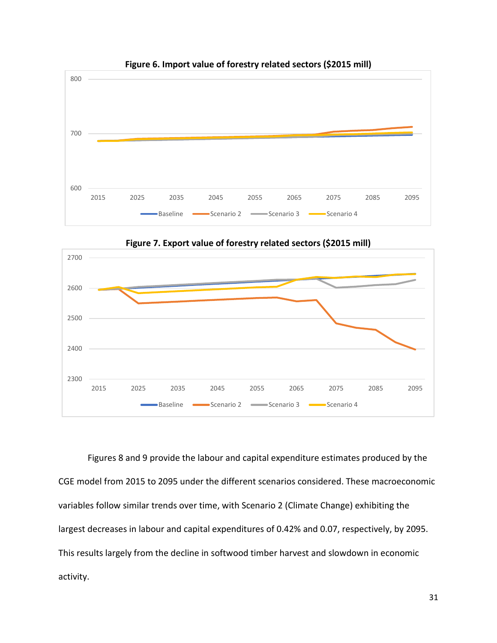

**Figure 6. Import value of forestry related sectors (\$2015 mill)**



**Figure 7. Export value of forestry related sectors (\$2015 mill)**

Figures 8 and 9 provide the labour and capital expenditure estimates produced by the CGE model from 2015 to 2095 under the different scenarios considered. These macroeconomic variables follow similar trends over time, with Scenario 2 (Climate Change) exhibiting the largest decreases in labour and capital expenditures of 0.42% and 0.07, respectively, by 2095. This results largely from the decline in softwood timber harvest and slowdown in economic activity.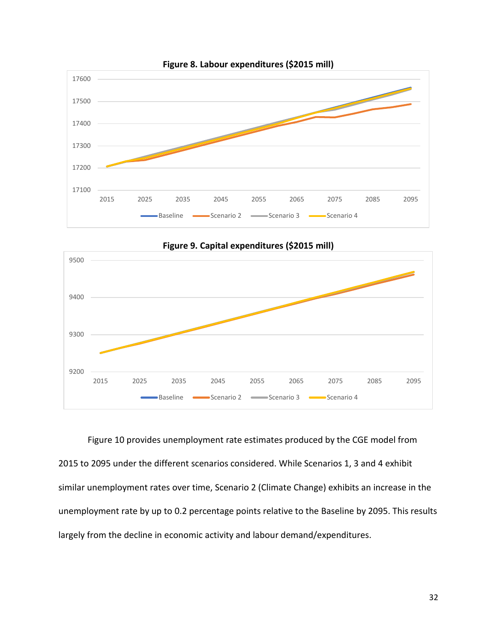





Figure 10 provides unemployment rate estimates produced by the CGE model from 2015 to 2095 under the different scenarios considered. While Scenarios 1, 3 and 4 exhibit similar unemployment rates over time, Scenario 2 (Climate Change) exhibits an increase in the unemployment rate by up to 0.2 percentage points relative to the Baseline by 2095. This results largely from the decline in economic activity and labour demand/expenditures.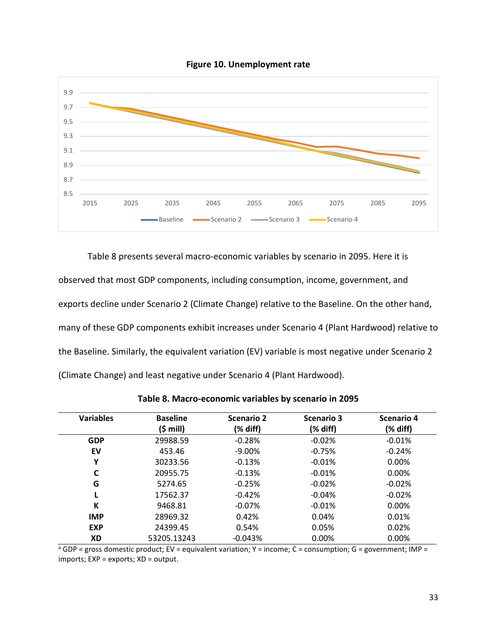



Table 8 presents several macro-economic variables by scenario in 2095. Here it is observed that most GDP components, including consumption, income, government, and exports decline under Scenario 2 (Climate Change) relative to the Baseline. On the other hand, many of these GDP components exhibit increases under Scenario 4 (Plant Hardwood) relative to the Baseline. Similarly, the equivalent variation (EV) variable is most negative under Scenario 2 (Climate Change) and least negative under Scenario 4 (Plant Hardwood).

| <b>Variables</b> | <b>Baseline</b> | <b>Scenario 2</b> | Scenario 3 | Scenario 4 |
|------------------|-----------------|-------------------|------------|------------|
|                  | (\$ mill)       | (% diff)          | (% diff)   | (% diff)   |
| <b>GDP</b>       | 29988.59        | $-0.28%$          | $-0.02%$   | $-0.01%$   |
| EV               | 453.46          | $-9.00\%$         | $-0.75%$   | $-0.24%$   |
| ν                | 30233.56        | $-0.13%$          | $-0.01%$   | 0.00%      |
| C                | 20955.75        | $-0.13%$          | $-0.01%$   | 0.00%      |
| G                | 5274.65         | $-0.25%$          | $-0.02%$   | $-0.02%$   |
|                  | 17562.37        | $-0.42%$          | $-0.04%$   | $-0.02%$   |
| K                | 9468.81         | $-0.07%$          | $-0.01%$   | 0.00%      |
| <b>IMP</b>       | 28969.32        | 0.42%             | 0.04%      | 0.01%      |
| <b>EXP</b>       | 24399.45        | 0.54%             | 0.05%      | 0.02%      |
| <b>XD</b>        | 53205.13243     | $-0.043%$         | 0.00%      | 0.00%      |

**Table 8. Macro-economic variables by scenario in 2095**

 $a$  GDP = gross domestic product; EV = equivalent variation; Y = income; C = consumption; G = government; IMP = imports; EXP = exports; XD = output.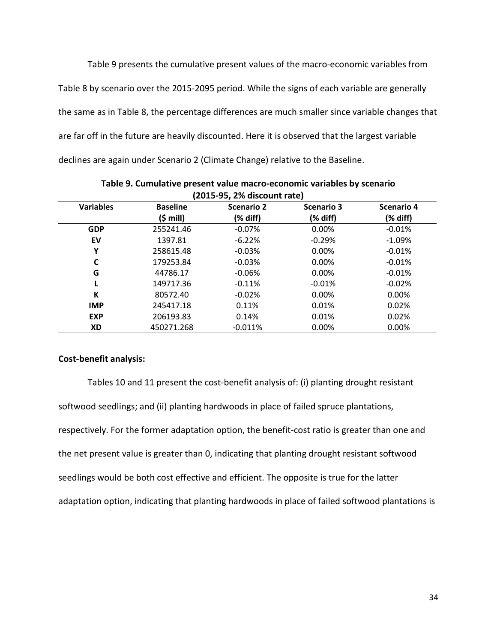Table 9 presents the cumulative present values of the macro-economic variables from Table 8 by scenario over the 2015-2095 period. While the signs of each variable are generally the same as in Table 8, the percentage differences are much smaller since variable changes that are far off in the future are heavily discounted. Here it is observed that the largest variable declines are again under Scenario 2 (Climate Change) relative to the Baseline.

| <b>Variables</b> | <b>Baseline</b>    | <b>Scenario 2</b> | <b>Scenario 3</b> | <b>Scenario 4</b> |
|------------------|--------------------|-------------------|-------------------|-------------------|
|                  | $(5 \text{ mill})$ | (% diff)          | (% diff)          | (% diff)          |
| <b>GDP</b>       | 255241.46          | $-0.07%$          | 0.00%             | $-0.01%$          |
| EV               | 1397.81            | $-6.22%$          | $-0.29%$          | $-1.09%$          |
| Υ                | 258615.48          | $-0.03%$          | 0.00%             | $-0.01%$          |
|                  | 179253.84          | $-0.03%$          | 0.00%             | $-0.01%$          |
| G                | 44786.17           | $-0.06%$          | 0.00%             | $-0.01%$          |
|                  | 149717.36          | $-0.11%$          | $-0.01%$          | $-0.02%$          |
| К                | 80572.40           | $-0.02%$          | 0.00%             | $0.00\%$          |
| <b>IMP</b>       | 245417.18          | 0.11%             | 0.01%             | 0.02%             |
| <b>EXP</b>       | 206193.83          | 0.14%             | 0.01%             | 0.02%             |
| XD               | 450271.268         | $-0.011%$         | 0.00%             | $0.00\%$          |

**Table 9. Cumulative present value macro-economic variables by scenario (2015-95, 2% discount rate)**

#### **Cost-benefit analysis:**

Tables 10 and 11 present the cost-benefit analysis of: (i) planting drought resistant softwood seedlings; and (ii) planting hardwoods in place of failed spruce plantations, respectively. For the former adaptation option, the benefit-cost ratio is greater than one and the net present value is greater than 0, indicating that planting drought resistant softwood seedlings would be both cost effective and efficient. The opposite is true for the latter adaptation option, indicating that planting hardwoods in place of failed softwood plantations is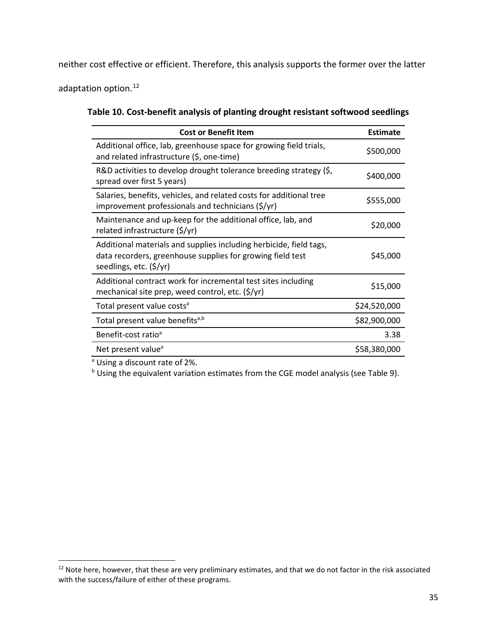neither cost effective or efficient. Therefore, this analysis supports the former over the latter

adaptation option.<sup>[12](#page-34-0)</sup>

| Table 10. Cost-benefit analysis of planting drought resistant softwood seedlings |  |
|----------------------------------------------------------------------------------|--|
|----------------------------------------------------------------------------------|--|

| <b>Cost or Benefit Item</b>                                                                                                                                 | Estimate     |
|-------------------------------------------------------------------------------------------------------------------------------------------------------------|--------------|
| Additional office, lab, greenhouse space for growing field trials,<br>and related infrastructure (\$, one-time)                                             | \$500,000    |
| R&D activities to develop drought tolerance breeding strategy (\$,<br>spread over first 5 years)                                                            | \$400,000    |
| Salaries, benefits, vehicles, and related costs for additional tree<br>improvement professionals and technicians $(\frac{5}{y})$                            | \$555,000    |
| Maintenance and up-keep for the additional office, lab, and<br>related infrastructure (\$/yr)                                                               | \$20,000     |
| Additional materials and supplies including herbicide, field tags,<br>data recorders, greenhouse supplies for growing field test<br>seedlings, etc. (\$/yr) | \$45,000     |
| Additional contract work for incremental test sites including<br>mechanical site prep, weed control, etc. (\$/yr)                                           | \$15,000     |
| Total present value costs <sup>a</sup>                                                                                                                      | \$24,520,000 |
| Total present value benefits <sup>a,b</sup>                                                                                                                 | \$82,900,000 |
| Benefit-cost ratio <sup>a</sup>                                                                                                                             | 3.38         |
| Net present value <sup>a</sup>                                                                                                                              | \$58,380,000 |

a Using a discount rate of 2%.

b Using the equivalent variation estimates from the CGE model analysis (see Table 9).

<span id="page-34-0"></span><sup>&</sup>lt;sup>12</sup> Note here, however, that these are very preliminary estimates, and that we do not factor in the risk associated with the success/failure of either of these programs.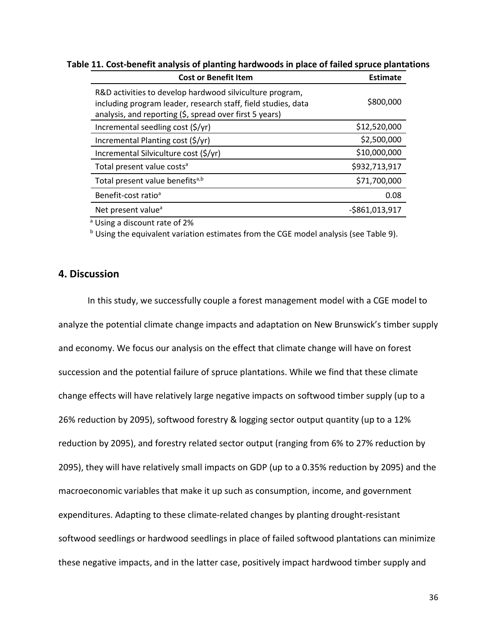| <b>Cost or Benefit Item</b>                                                                                                                                                          | <b>Estimate</b> |
|--------------------------------------------------------------------------------------------------------------------------------------------------------------------------------------|-----------------|
| R&D activities to develop hardwood silviculture program,<br>including program leader, research staff, field studies, data<br>analysis, and reporting (\$, spread over first 5 years) | \$800,000       |
| Incremental seedling cost (\$/yr)                                                                                                                                                    | \$12,520,000    |
| Incremental Planting cost (\$/yr)                                                                                                                                                    | \$2,500,000     |
| Incremental Silviculture cost (\$/yr)                                                                                                                                                | \$10,000,000    |
| Total present value costs <sup>a</sup>                                                                                                                                               | \$932,713,917   |
| Total present value benefitsa,b                                                                                                                                                      | \$71,700,000    |
| Benefit-cost ratio <sup>a</sup>                                                                                                                                                      | 0.08            |
| Net present value <sup>a</sup>                                                                                                                                                       | $-5861,013,917$ |

**Table 11. Cost-benefit analysis of planting hardwoods in place of failed spruce plantations**

<sup>a</sup> Using a discount rate of 2%

b Using the equivalent variation estimates from the CGE model analysis (see Table 9).

## **4. Discussion**

In this study, we successfully couple a forest management model with a CGE model to analyze the potential climate change impacts and adaptation on New Brunswick's timber supply and economy. We focus our analysis on the effect that climate change will have on forest succession and the potential failure of spruce plantations. While we find that these climate change effects will have relatively large negative impacts on softwood timber supply (up to a 26% reduction by 2095), softwood forestry & logging sector output quantity (up to a 12% reduction by 2095), and forestry related sector output (ranging from 6% to 27% reduction by 2095), they will have relatively small impacts on GDP (up to a 0.35% reduction by 2095) and the macroeconomic variables that make it up such as consumption, income, and government expenditures. Adapting to these climate-related changes by planting drought-resistant softwood seedlings or hardwood seedlings in place of failed softwood plantations can minimize these negative impacts, and in the latter case, positively impact hardwood timber supply and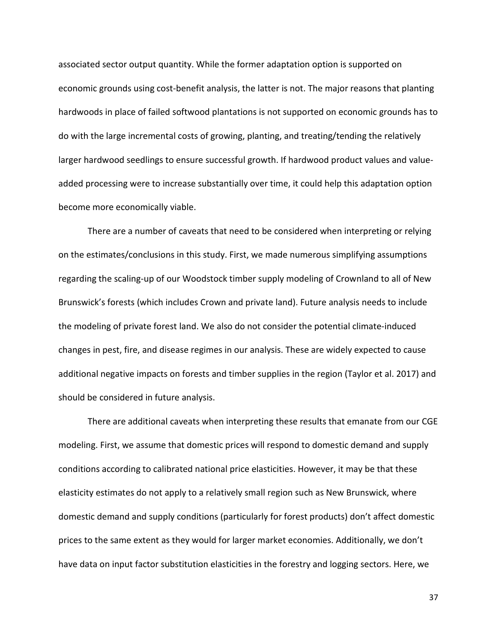associated sector output quantity. While the former adaptation option is supported on economic grounds using cost-benefit analysis, the latter is not. The major reasons that planting hardwoods in place of failed softwood plantations is not supported on economic grounds has to do with the large incremental costs of growing, planting, and treating/tending the relatively larger hardwood seedlings to ensure successful growth. If hardwood product values and valueadded processing were to increase substantially over time, it could help this adaptation option become more economically viable.

There are a number of caveats that need to be considered when interpreting or relying on the estimates/conclusions in this study. First, we made numerous simplifying assumptions regarding the scaling-up of our Woodstock timber supply modeling of Crownland to all of New Brunswick's forests (which includes Crown and private land). Future analysis needs to include the modeling of private forest land. We also do not consider the potential climate-induced changes in pest, fire, and disease regimes in our analysis. These are widely expected to cause additional negative impacts on forests and timber supplies in the region (Taylor et al. 2017) and should be considered in future analysis.

There are additional caveats when interpreting these results that emanate from our CGE modeling. First, we assume that domestic prices will respond to domestic demand and supply conditions according to calibrated national price elasticities. However, it may be that these elasticity estimates do not apply to a relatively small region such as New Brunswick, where domestic demand and supply conditions (particularly for forest products) don't affect domestic prices to the same extent as they would for larger market economies. Additionally, we don't have data on input factor substitution elasticities in the forestry and logging sectors. Here, we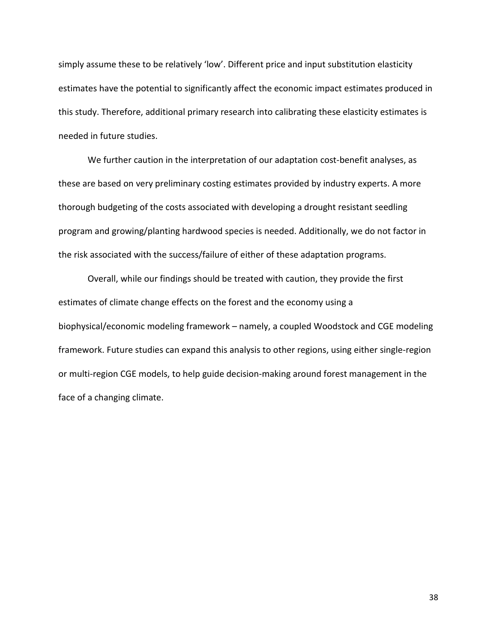simply assume these to be relatively 'low'. Different price and input substitution elasticity estimates have the potential to significantly affect the economic impact estimates produced in this study. Therefore, additional primary research into calibrating these elasticity estimates is needed in future studies.

We further caution in the interpretation of our adaptation cost-benefit analyses, as these are based on very preliminary costing estimates provided by industry experts. A more thorough budgeting of the costs associated with developing a drought resistant seedling program and growing/planting hardwood species is needed. Additionally, we do not factor in the risk associated with the success/failure of either of these adaptation programs.

Overall, while our findings should be treated with caution, they provide the first estimates of climate change effects on the forest and the economy using a biophysical/economic modeling framework – namely, a coupled Woodstock and CGE modeling framework. Future studies can expand this analysis to other regions, using either single-region or multi-region CGE models, to help guide decision-making around forest management in the face of a changing climate.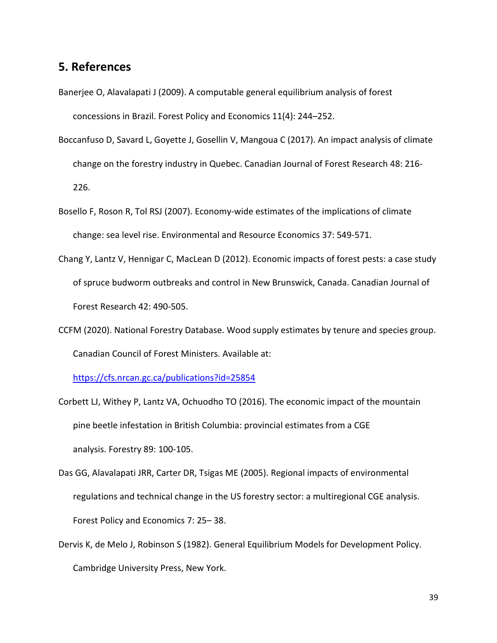## **5. References**

- [Banerjee](http://www.sciencedirect.com/science?_ob=RedirectURL&_method=outwardLink&_partnerName=27983&_origin=article&_zone=art_page&_linkType=scopusAuthorDocuments&_targetURL=http%3A%2F%2Fwww.scopus.com%2Fscopus%2Finward%2Fauthor.url%3FpartnerID%3D10%26rel%3D3.0.0%26sortField%3Dcited%26sortOrder%3Dasc%26author%3DBanerjee,%2520Onil%26authorID%3D26634776400%26md5%3D3774904fa2656dd80ec2504288f02d10&_acct=C000051277&_version=1&_userid=1069331&md5=1445d0bfc776e30328ab617d165ce01a) O, [Alavalapati](http://www.sciencedirect.com/science?_ob=RedirectURL&_method=outwardLink&_partnerName=27983&_origin=article&_zone=art_page&_linkType=scopusAuthorDocuments&_targetURL=http%3A%2F%2Fwww.scopus.com%2Fscopus%2Finward%2Fauthor.url%3FpartnerID%3D10%26rel%3D3.0.0%26sortField%3Dcited%26sortOrder%3Dasc%26author%3DAlavalapati,%2520Janaki%26authorID%3D6701682565%26md5%3Dfb95093c1f75cb804c304edab2df4d8f&_acct=C000051277&_version=1&_userid=1069331&md5=de6619df5443336f5dbd170e04bc6a83) J (2009). A computable general equilibrium analysis of forest concessions in Brazil. Forest Policy and Economics 11(4): 244–252.
- Boccanfuso D, Savard L, Goyette J, Gosellin V, Mangoua C (2017). An impact analysis of climate change on the forestry industry in Quebec. Canadian Journal of Forest Research 48: 216- 226.
- Bosello F, Roson R, Tol RSJ (2007). Economy-wide estimates of the implications of climate change: sea level rise. Environmental and Resource Economics 37: 549-571.
- Chang Y, Lantz V, Hennigar C, MacLean D (2012). Economic impacts of forest pests: a case study of spruce budworm outbreaks and control in New Brunswick, Canada. Canadian Journal of Forest Research 42: 490-505.
- CCFM (2020). National Forestry Database. Wood supply estimates by tenure and species group. Canadian Council of Forest Ministers. Available at:

<https://cfs.nrcan.gc.ca/publications?id=25854>

- Corbett LJ, Withey P, Lantz VA, Ochuodho TO (2016). The economic impact of the mountain pine beetle infestation in British Columbia: provincial estimates from a CGE analysis. Forestry 89: 100-105.
- Das GG, Alavalapati JRR, Carter DR, Tsigas ME (2005). Regional impacts of environmental regulations and technical change in the US forestry sector: a multiregional CGE analysis. Forest Policy and Economics 7: 25– 38.
- Dervis K, de Melo J, Robinson S (1982). General Equilibrium Models for Development Policy. Cambridge University Press, New York.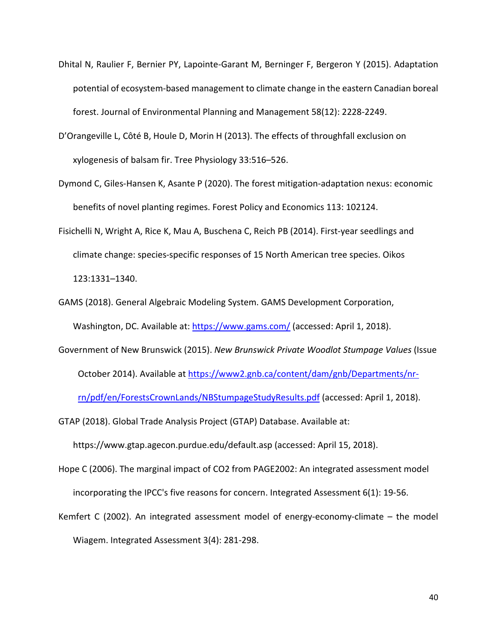- Dhital N, Raulier F, Bernier PY, Lapointe-Garant M, Berninger F, Bergeron Y (2015). Adaptation potential of ecosystem-based management to climate change in the eastern Canadian boreal forest. Journal of Environmental Planning and Management 58(12): 2228-2249.
- D'Orangeville L, Côté B, Houle D, Morin H (2013). The effects of throughfall exclusion on xylogenesis of balsam fir. Tree Physiology 33:516–526.
- Dymond C, Giles-Hansen K, Asante P (2020). The forest mitigation-adaptation nexus: economic benefits of novel planting regimes. Forest Policy and Economics 113: 102124.
- Fisichelli N, Wright A, Rice K, Mau A, Buschena C, Reich PB (2014). First-year seedlings and climate change: species-specific responses of 15 North American tree species. Oikos 123:1331–1340.
- GAMS (2018). General Algebraic Modeling System. GAMS Development Corporation, Washington, DC. Available at:<https://www.gams.com/> (accessed: April 1, 2018).
- Government of New Brunswick (2015). *New Brunswick Private Woodlot Stumpage Values* (Issue October 2014). Available at [https://www2.gnb.ca/content/dam/gnb/Departments/nr](https://www2.gnb.ca/content/dam/gnb/Departments/nr-rn/pdf/en/ForestsCrownLands/NBStumpageStudyResults.pdf)[rn/pdf/en/ForestsCrownLands/NBStumpageStudyResults.pdf](https://www2.gnb.ca/content/dam/gnb/Departments/nr-rn/pdf/en/ForestsCrownLands/NBStumpageStudyResults.pdf) (accessed: April 1, 2018).

GTAP (2018). Global Trade Analysis Project (GTAP) Database. Available at:

https://www.gtap.agecon.purdue.edu/default.asp (accessed: April 15, 2018).

- Hope C (2006). The marginal impact of CO2 from PAGE2002: An integrated assessment model incorporating the IPCC's five reasons for concern. Integrated Assessment 6(1): 19-56.
- Kemfert C (2002). An integrated assessment model of energy-economy-climate the model Wiagem. Integrated Assessment 3(4): 281-298.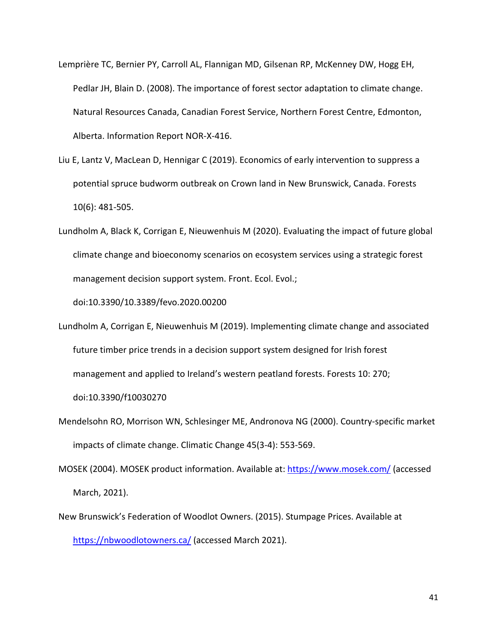- Lemprière TC, Bernier PY, Carroll AL, Flannigan MD, Gilsenan RP, McKenney DW, Hogg EH, Pedlar JH, Blain D. (2008). The importance of forest sector adaptation to climate change. Natural Resources Canada, Canadian Forest Service, Northern Forest Centre, Edmonton, Alberta. Information Report NOR-X-416.
- Liu E, Lantz V, MacLean D, Hennigar C (2019). Economics of early intervention to suppress a potential spruce budworm outbreak on Crown land in New Brunswick, Canada. Forests 10(6): 481-505.
- Lundholm A, Black K, Corrigan E, Nieuwenhuis M (2020). Evaluating the impact of future global climate change and bioeconomy scenarios on ecosystem services using a strategic forest management decision support system. Front. Ecol. Evol.;

doi:10.3390/10.3389/fevo.2020.00200

Lundholm A, Corrigan E, Nieuwenhuis M (2019). Implementing climate change and associated future timber price trends in a decision support system designed for Irish forest management and applied to Ireland's western peatland forests. Forests 10: 270;

doi:10.3390/f10030270

- Mendelsohn RO, Morrison WN, Schlesinger ME, Andronova NG (2000). Country-specific market impacts of climate change. Climatic Change 45(3-4): 553-569.
- MOSEK (2004). MOSEK product information. Available at:<https://www.mosek.com/> (accessed March, 2021).
- New Brunswick's Federation of Woodlot Owners. (2015). Stumpage Prices. Available at <https://nbwoodlotowners.ca/> (accessed March 2021).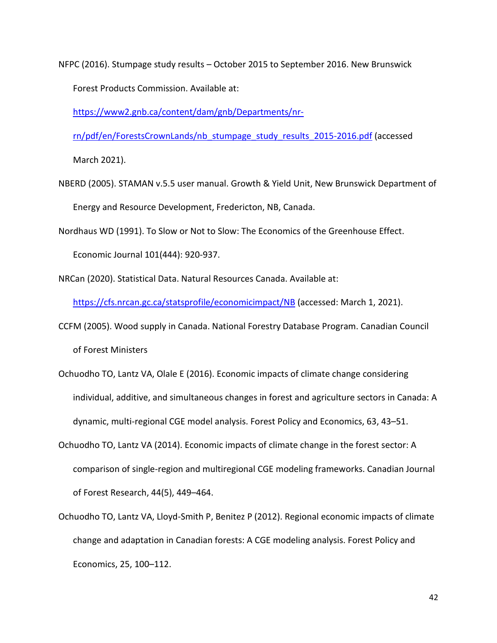NFPC (2016). Stumpage study results – October 2015 to September 2016. New Brunswick Forest Products Commission. Available at:

[https://www2.gnb.ca/content/dam/gnb/Departments/nr-](https://www2.gnb.ca/content/dam/gnb/Departments/nr-rn/pdf/en/ForestsCrownLands/nb_stumpage_study_results_2015-2016.pdf)

[rn/pdf/en/ForestsCrownLands/nb\\_stumpage\\_study\\_results\\_2015-2016.pdf](https://www2.gnb.ca/content/dam/gnb/Departments/nr-rn/pdf/en/ForestsCrownLands/nb_stumpage_study_results_2015-2016.pdf) (accessed

March 2021).

- NBERD (2005). STAMAN v.5.5 user manual. Growth & Yield Unit, New Brunswick Department of Energy and Resource Development, Fredericton, NB, Canada.
- Nordhaus WD (1991). To Slow or Not to Slow: The Economics of the Greenhouse Effect.

Economic Journal 101(444): 920-937.

NRCan (2020). Statistical Data. Natural Resources Canada. Available at:

<https://cfs.nrcan.gc.ca/statsprofile/economicimpact/NB> (accessed: March 1, 2021).

- CCFM (2005). Wood supply in Canada. National Forestry Database Program. Canadian Council of Forest Ministers
- Ochuodho TO, Lantz VA, Olale E (2016). Economic impacts of climate change considering individual, additive, and simultaneous changes in forest and agriculture sectors in Canada: A dynamic, multi-regional CGE model analysis. Forest Policy and Economics, 63, 43–51.
- Ochuodho TO, Lantz VA (2014). Economic impacts of climate change in the forest sector: A comparison of single-region and multiregional CGE modeling frameworks. Canadian Journal of Forest Research, 44(5), 449–464.
- Ochuodho TO, Lantz VA, Lloyd-Smith P, Benitez P (2012). Regional economic impacts of climate change and adaptation in Canadian forests: A CGE modeling analysis. Forest Policy and Economics, 25, 100–112.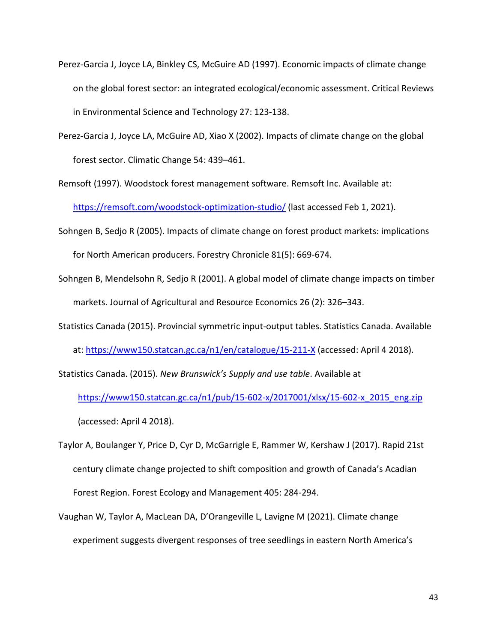- Perez-Garcia J, Joyce LA, Binkley CS, McGuire AD (1997). Economic impacts of climate change on the global forest sector: an integrated ecological/economic assessment. Critical Reviews in Environmental Science and Technology 27: 123-138.
- Perez-Garcia J, Joyce LA, McGuire AD, Xiao X (2002). Impacts of climate change on the global forest sector. Climatic Change 54: 439–461.

Remsoft (1997). Woodstock forest management software. Remsoft Inc. Available at: <https://remsoft.com/woodstock-optimization-studio/> (last accessed Feb 1, 2021).

- Sohngen B, Sedjo R (2005). Impacts of climate change on forest product markets: implications for North American producers. Forestry Chronicle 81(5): 669-674.
- Sohngen B, Mendelsohn R, Sedjo R (2001). A global model of climate change impacts on timber markets. Journal of Agricultural and Resource Economics 26 (2): 326–343.
- Statistics Canada (2015). Provincial symmetric input-output tables. Statistics Canada. Available at[: https://www150.statcan.gc.ca/n1/en/catalogue/15-211-X](https://www150.statcan.gc.ca/n1/en/catalogue/15-211-X) (accessed: April 4 2018).

Statistics Canada. (2015). *New Brunswick's Supply and use table*. Available at

[https://www150.statcan.gc.ca/n1/pub/15-602-x/2017001/xlsx/15-602-x\\_2015\\_eng.zip](https://www150.statcan.gc.ca/n1/pub/15-602-x/2017001/xlsx/15-602-x_2015_eng.zip) (accessed: April 4 2018).

Taylor A, Boulanger Y, Price D, Cyr D, McGarrigle E, Rammer W, Kershaw J (2017). Rapid 21st century climate change projected to shift composition and growth of Canada's Acadian Forest Region. Forest Ecology and Management 405: 284-294.

Vaughan W, Taylor A, MacLean DA, D'Orangeville L, Lavigne M (2021). Climate change experiment suggests divergent responses of tree seedlings in eastern North America's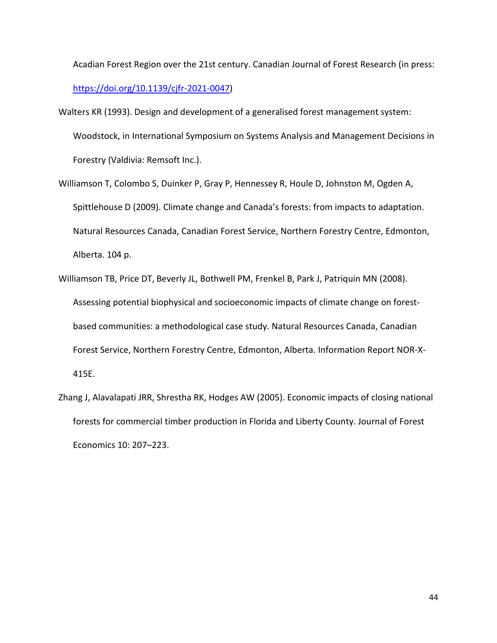Acadian Forest Region over the 21st century. Canadian Journal of Forest Research (in press: [https://doi.org/10.1139/cjfr-2021-0047\)](https://doi.org/10.1139/cjfr-2021-0047)

- Walters KR (1993). Design and development of a generalised forest management system: Woodstock, in International Symposium on Systems Analysis and Management Decisions in Forestry (Valdivia: Remsoft Inc.).
- Williamson T, Colombo S, Duinker P, Gray P, Hennessey R, Houle D, Johnston M, Ogden A, Spittlehouse D (2009). Climate change and Canada's forests: from impacts to adaptation. Natural Resources Canada, Canadian Forest Service, Northern Forestry Centre, Edmonton, Alberta. 104 p.
- Williamson TB, Price DT, Beverly JL, Bothwell PM, Frenkel B, Park J, Patriquin MN (2008). Assessing potential biophysical and socioeconomic impacts of climate change on forestbased communities: a methodological case study. Natural Resources Canada, Canadian Forest Service, Northern Forestry Centre, Edmonton, Alberta. Information Report NOR-X-415E.
- Zhang J, Alavalapati JRR, Shrestha RK, Hodges AW (2005). Economic impacts of closing national forests for commercial timber production in Florida and Liberty County. Journal of Forest Economics 10: 207–223.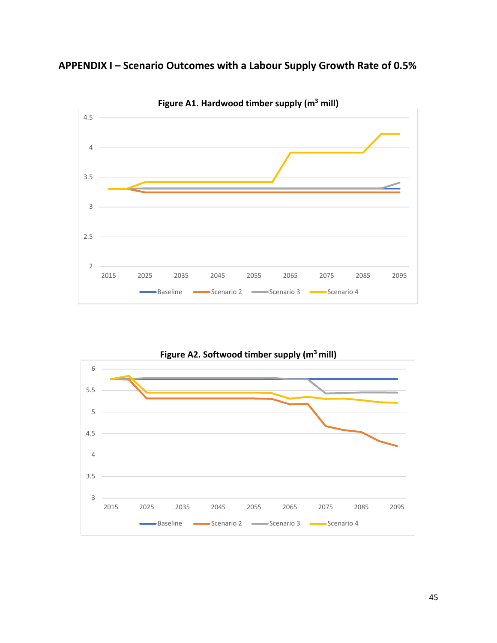**APPENDIX I – Scenario Outcomes with a Labour Supply Growth Rate of 0.5%**



**Figure A1. Hardwood timber supply (m3 mill)**



45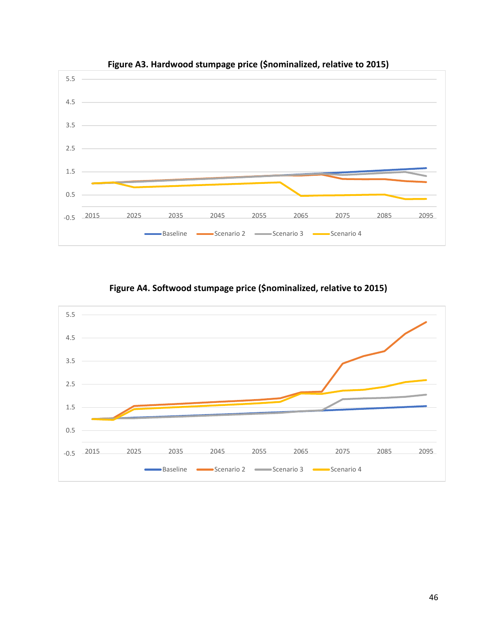





## **Figure A4. Softwood stumpage price (\$nominalized, relative to 2015)**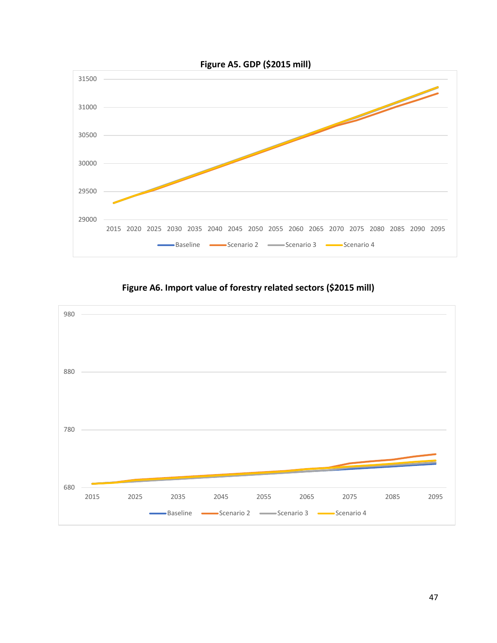



## **Figure A6. Import value of forestry related sectors (\$2015 mill)**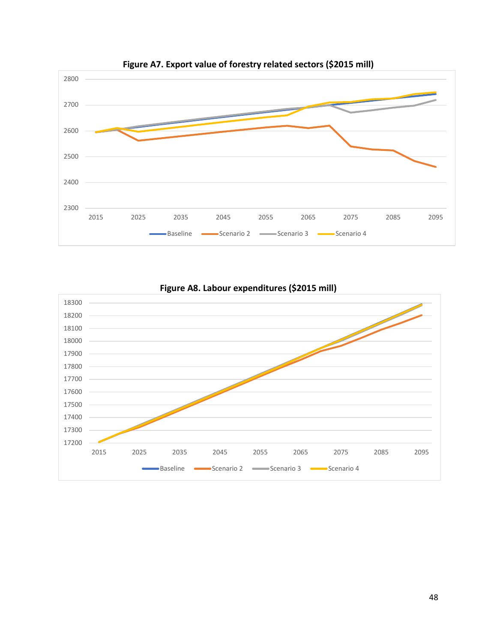





**Figure A8. Labour expenditures (\$2015 mill)**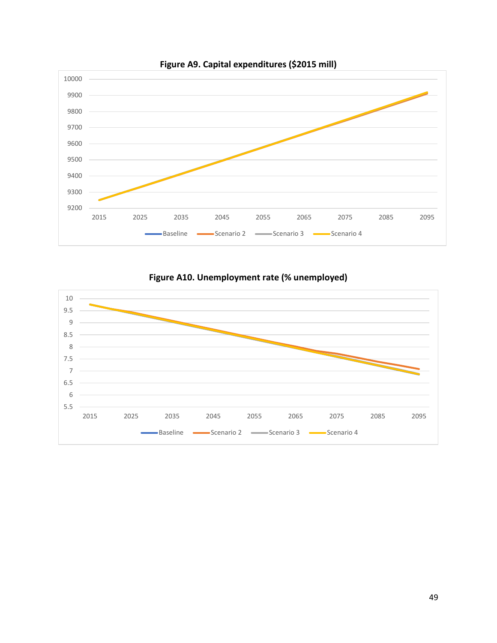





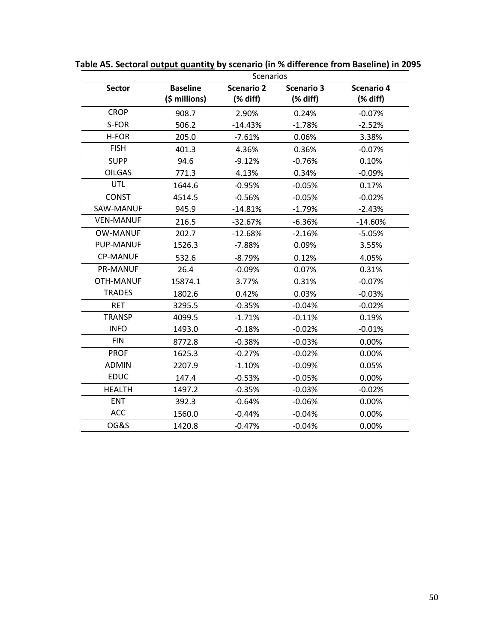|                  | <b>Scenarios</b>                 |                                 |                                                           |                                 |
|------------------|----------------------------------|---------------------------------|-----------------------------------------------------------|---------------------------------|
| <b>Sector</b>    | <b>Baseline</b><br>(\$ millions) | <b>Scenario 2</b><br>$(X$ diff) | <b>Scenario 3</b><br>$(% \mathcal{L}_{0}^{\ast}$ (% diff) | <b>Scenario 4</b><br>$(X$ diff) |
| <b>CROP</b>      | 908.7                            | 2.90%                           | 0.24%                                                     | $-0.07%$                        |
| S-FOR            | 506.2                            | $-14.43%$                       | $-1.78%$                                                  | $-2.52%$                        |
| H-FOR            | 205.0                            | $-7.61%$                        | 0.06%                                                     | 3.38%                           |
| <b>FISH</b>      | 401.3                            | 4.36%                           | 0.36%                                                     | $-0.07%$                        |
| <b>SUPP</b>      | 94.6                             | $-9.12%$                        | $-0.76%$                                                  | 0.10%                           |
| <b>OILGAS</b>    | 771.3                            | 4.13%                           | 0.34%                                                     | $-0.09%$                        |
| <b>UTL</b>       | 1644.6                           | $-0.95%$                        | $-0.05%$                                                  | 0.17%                           |
| <b>CONST</b>     | 4514.5                           | $-0.56%$                        | $-0.05%$                                                  | $-0.02%$                        |
| SAW-MANUF        | 945.9                            | $-14.81%$                       | $-1.79%$                                                  | $-2.43%$                        |
| <b>VEN-MANUF</b> | 216.5                            | $-32.67%$                       | $-6.36%$                                                  | $-14.60%$                       |
| <b>OW-MANUF</b>  | 202.7                            | $-12.68%$                       | $-2.16%$                                                  | $-5.05%$                        |
| <b>PUP-MANUF</b> | 1526.3                           | $-7.88%$                        | 0.09%                                                     | 3.55%                           |
| <b>CP-MANUF</b>  | 532.6                            | $-8.79%$                        | 0.12%                                                     | 4.05%                           |
| <b>PR-MANUF</b>  | 26.4                             | $-0.09%$                        | 0.07%                                                     | 0.31%                           |
| <b>OTH-MANUF</b> | 15874.1                          | 3.77%                           | 0.31%                                                     | $-0.07%$                        |
| <b>TRADES</b>    | 1802.6                           | 0.42%                           | 0.03%                                                     | $-0.03%$                        |
| <b>RET</b>       | 3295.5                           | $-0.35%$                        | $-0.04%$                                                  | $-0.02%$                        |
| <b>TRANSP</b>    | 4099.5                           | $-1.71%$                        | $-0.11%$                                                  | 0.19%                           |
| <b>INFO</b>      | 1493.0                           | $-0.18%$                        | $-0.02%$                                                  | $-0.01%$                        |
| <b>FIN</b>       | 8772.8                           | $-0.38%$                        | $-0.03%$                                                  | 0.00%                           |
| <b>PROF</b>      | 1625.3                           | $-0.27%$                        | $-0.02%$                                                  | 0.00%                           |
| <b>ADMIN</b>     | 2207.9                           | $-1.10%$                        | $-0.09\%$                                                 | 0.05%                           |
| <b>EDUC</b>      | 147.4                            | $-0.53%$                        | $-0.05%$                                                  | 0.00%                           |
| <b>HEALTH</b>    | 1497.2                           | $-0.35%$                        | $-0.03%$                                                  | $-0.02%$                        |
| <b>ENT</b>       | 392.3                            | $-0.64%$                        | $-0.06%$                                                  | 0.00%                           |
| <b>ACC</b>       | 1560.0                           | $-0.44%$                        | $-0.04%$                                                  | 0.00%                           |
| <b>OG&amp;S</b>  | 1420.8                           | $-0.47%$                        | $-0.04%$                                                  | 0.00%                           |

**Table A5. Sectoral output quantity by scenario (in % difference from Baseline) in 2095**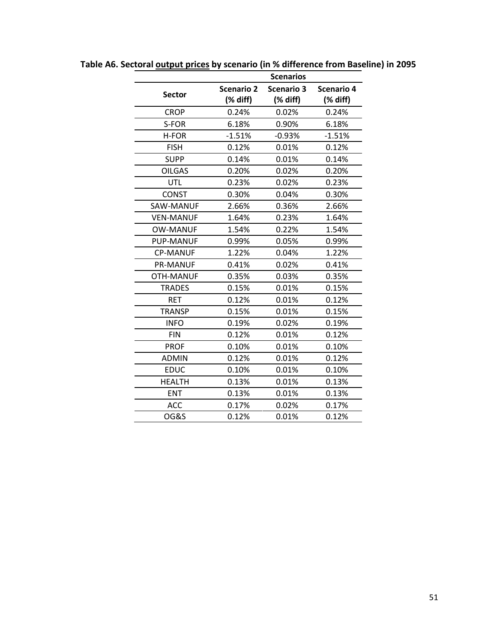|                  |                               | <b>Scenarios</b>              |                               |
|------------------|-------------------------------|-------------------------------|-------------------------------|
| <b>Sector</b>    | <b>Scenario 2</b><br>(% diff) | <b>Scenario 3</b><br>(% diff) | <b>Scenario 4</b><br>(% diff) |
| <b>CROP</b>      | 0.24%                         | 0.02%                         | 0.24%                         |
| S-FOR            | 6.18%                         | 0.90%                         | 6.18%                         |
| H-FOR            | $-1.51%$                      | $-0.93%$                      | $-1.51%$                      |
| <b>FISH</b>      | 0.12%                         | 0.01%                         | 0.12%                         |
| <b>SUPP</b>      | 0.14%                         | 0.01%                         | 0.14%                         |
| <b>OILGAS</b>    | 0.20%                         | 0.02%                         | 0.20%                         |
| <b>UTL</b>       | 0.23%                         | 0.02%                         | 0.23%                         |
| <b>CONST</b>     | 0.30%                         | 0.04%                         | 0.30%                         |
| <b>SAW-MANUF</b> | 2.66%                         | 0.36%                         | 2.66%                         |
| <b>VEN-MANUF</b> | 1.64%                         | 0.23%                         | 1.64%                         |
| <b>OW-MANUF</b>  | 1.54%                         | 0.22%                         | 1.54%                         |
| <b>PUP-MANUF</b> | 0.99%                         | 0.05%                         | 0.99%                         |
| <b>CP-MANUF</b>  | 1.22%                         | 0.04%                         | 1.22%                         |
| <b>PR-MANUF</b>  | 0.41%                         | 0.02%                         | 0.41%                         |
| OTH-MANUF        | 0.35%                         | 0.03%                         | 0.35%                         |
| <b>TRADES</b>    | 0.15%                         | 0.01%                         | 0.15%                         |
| <b>RET</b>       | 0.12%                         | 0.01%                         | 0.12%                         |
| <b>TRANSP</b>    | 0.15%                         | 0.01%                         | 0.15%                         |
| <b>INFO</b>      | 0.19%                         | 0.02%                         | 0.19%                         |
| <b>FIN</b>       | 0.12%                         | 0.01%                         | 0.12%                         |
| <b>PROF</b>      | 0.10%                         | 0.01%                         | 0.10%                         |
| <b>ADMIN</b>     | 0.12%                         | 0.01%                         | 0.12%                         |
| <b>EDUC</b>      | 0.10%                         | 0.01%                         | 0.10%                         |
| <b>HEALTH</b>    | 0.13%                         | 0.01%                         | 0.13%                         |
| <b>ENT</b>       | 0.13%                         | 0.01%                         | 0.13%                         |
| <b>ACC</b>       | 0.17%                         | 0.02%                         | 0.17%                         |
| <b>OG&amp;S</b>  | 0.12%                         | 0.01%                         | 0.12%                         |

**Table A6. Sectoral output prices by scenario (in % difference from Baseline) in 2095**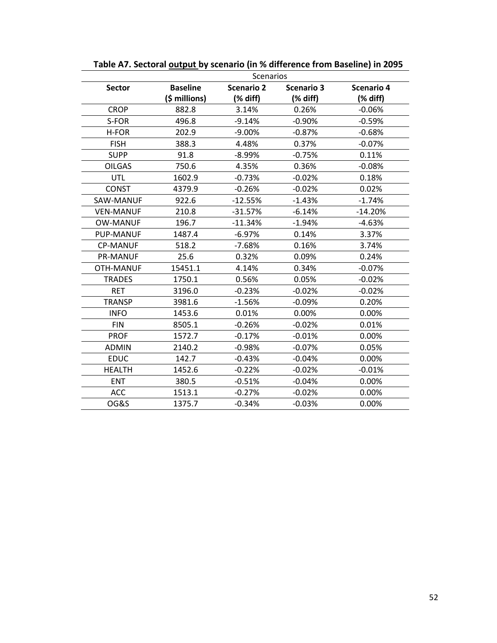|                  | Scenarios       |                   |                   |                                |
|------------------|-----------------|-------------------|-------------------|--------------------------------|
| <b>Sector</b>    | <b>Baseline</b> | <b>Scenario 2</b> | <b>Scenario 3</b> | Scenario 4                     |
|                  | (\$ millions)   | (% diff)          | (% diff)          | $(% \mathcal{L}_{0})$ (% diff) |
| <b>CROP</b>      | 882.8           | 3.14%             | 0.26%             | $-0.06%$                       |
| S-FOR            | 496.8           | $-9.14%$          | $-0.90%$          | $-0.59%$                       |
| H-FOR            | 202.9           | -9.00%            | $-0.87%$          | $-0.68%$                       |
| <b>FISH</b>      | 388.3           | 4.48%             | 0.37%             | $-0.07%$                       |
| <b>SUPP</b>      | 91.8            | $-8.99\%$         | $-0.75%$          | 0.11%                          |
| <b>OILGAS</b>    | 750.6           | 4.35%             | 0.36%             | $-0.08%$                       |
| UTL              | 1602.9          | $-0.73%$          | $-0.02%$          | 0.18%                          |
| <b>CONST</b>     | 4379.9          | $-0.26%$          | $-0.02%$          | 0.02%                          |
| SAW-MANUF        | 922.6           | $-12.55%$         | $-1.43%$          | $-1.74%$                       |
| <b>VEN-MANUF</b> | 210.8           | $-31.57%$         | $-6.14%$          | $-14.20%$                      |
| <b>OW-MANUF</b>  | 196.7           | $-11.34%$         | $-1.94%$          | $-4.63%$                       |
| <b>PUP-MANUF</b> | 1487.4          | $-6.97%$          | 0.14%             | 3.37%                          |
| <b>CP-MANUF</b>  | 518.2           | $-7.68%$          | 0.16%             | 3.74%                          |
| <b>PR-MANUF</b>  | 25.6            | 0.32%             | 0.09%             | 0.24%                          |
| OTH-MANUF        | 15451.1         | 4.14%             | 0.34%             | $-0.07%$                       |
| <b>TRADES</b>    | 1750.1          | 0.56%             | 0.05%             | $-0.02%$                       |
| <b>RET</b>       | 3196.0          | $-0.23%$          | $-0.02%$          | $-0.02%$                       |
| <b>TRANSP</b>    | 3981.6          | $-1.56%$          | $-0.09%$          | 0.20%                          |
| <b>INFO</b>      | 1453.6          | 0.01%             | 0.00%             | 0.00%                          |
| <b>FIN</b>       | 8505.1          | $-0.26%$          | $-0.02%$          | 0.01%                          |
| <b>PROF</b>      | 1572.7          | $-0.17%$          | $-0.01%$          | 0.00%                          |
| <b>ADMIN</b>     | 2140.2          | $-0.98%$          | $-0.07%$          | 0.05%                          |
| <b>EDUC</b>      | 142.7           | $-0.43%$          | $-0.04%$          | 0.00%                          |
| <b>HEALTH</b>    | 1452.6          | $-0.22%$          | $-0.02%$          | $-0.01%$                       |
| <b>ENT</b>       | 380.5           | $-0.51%$          | $-0.04%$          | 0.00%                          |
| <b>ACC</b>       | 1513.1          | $-0.27%$          | $-0.02%$          | $0.00\%$                       |
| <b>OG&amp;S</b>  | 1375.7          | $-0.34%$          | $-0.03%$          | 0.00%                          |

**Table A7. Sectoral output by scenario (in % difference from Baseline) in 2095**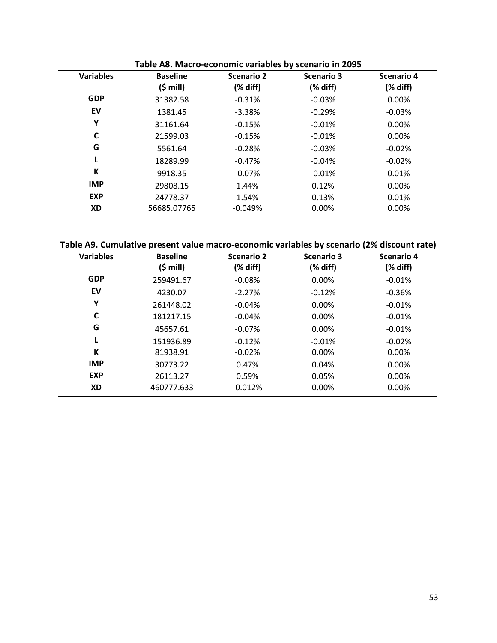| <b>Variables</b> | <b>Baseline</b>    | <b>Scenario 2</b> | Scenario 3 | Scenario 4 |
|------------------|--------------------|-------------------|------------|------------|
|                  | $(5 \text{ mill})$ | (% diff)          | (% diff)   | (% diff)   |
| <b>GDP</b>       | 31382.58           | $-0.31%$          | $-0.03%$   | 0.00%      |
| EV               | 1381.45            | $-3.38%$          | $-0.29%$   | $-0.03%$   |
| Υ                | 31161.64           | $-0.15%$          | $-0.01%$   | $0.00\%$   |
| C                | 21599.03           | $-0.15%$          | $-0.01%$   | 0.00%      |
| G                | 5561.64            | $-0.28%$          | $-0.03%$   | $-0.02%$   |
|                  | 18289.99           | $-0.47%$          | $-0.04%$   | $-0.02%$   |
| К                | 9918.35            | $-0.07%$          | $-0.01%$   | 0.01%      |
| <b>IMP</b>       | 29808.15           | 1.44%             | 0.12%      | 0.00%      |
| <b>EXP</b>       | 24778.37           | 1.54%             | 0.13%      | 0.01%      |
| XD               | 56685.07765        | $-0.049%$         | 0.00%      | 0.00%      |

**Table A8. Macro-economic variables by scenario in 2095** 

|  | Table A9. Cumulative present value macro-economic variables by scenario (2% discount rate) |
|--|--------------------------------------------------------------------------------------------|
|--|--------------------------------------------------------------------------------------------|

| <b>Variables</b> | <b>Baseline</b><br>$(5 \text{ mill})$ | <b>Scenario 2</b><br>(% diff) | <b>Scenario 3</b><br>(% diff) | Scenario 4<br>(% diff) |
|------------------|---------------------------------------|-------------------------------|-------------------------------|------------------------|
| <b>GDP</b>       | 259491.67                             | $-0.08%$                      | 0.00%                         | $-0.01%$               |
| EV               | 4230.07                               | $-2.27%$                      | $-0.12%$                      | $-0.36%$               |
| Υ                | 261448.02                             | $-0.04%$                      | 0.00%                         | $-0.01%$               |
| C                | 181217.15                             | $-0.04%$                      | 0.00%                         | $-0.01%$               |
| G                | 45657.61                              | $-0.07%$                      | 0.00%                         | $-0.01%$               |
|                  | 151936.89                             | $-0.12%$                      | $-0.01%$                      | $-0.02%$               |
| К                | 81938.91                              | $-0.02%$                      | 0.00%                         | 0.00%                  |
| <b>IMP</b>       | 30773.22                              | 0.47%                         | 0.04%                         | $0.00\%$               |
| <b>EXP</b>       | 26113.27                              | 0.59%                         | 0.05%                         | 0.00%                  |
| XD               | 460777.633                            | $-0.012%$                     | 0.00%                         | 0.00%                  |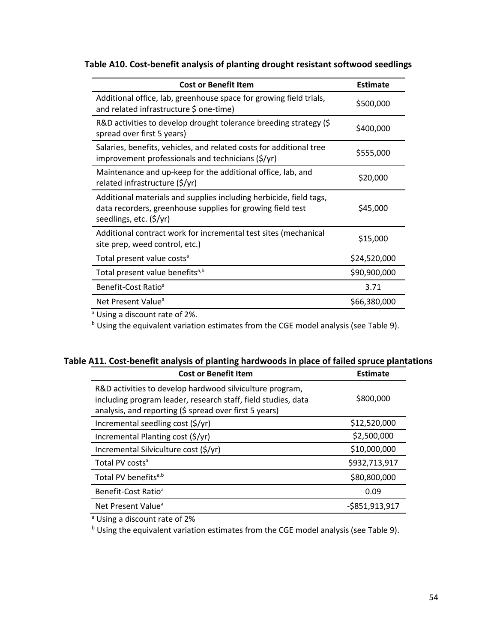| <b>Cost or Benefit Item</b>                                                                                                                                 | <b>Estimate</b> |
|-------------------------------------------------------------------------------------------------------------------------------------------------------------|-----------------|
| Additional office, lab, greenhouse space for growing field trials,<br>and related infrastructure \$ one-time)                                               | \$500,000       |
| R&D activities to develop drought tolerance breeding strategy (\$<br>spread over first 5 years)                                                             | \$400,000       |
| Salaries, benefits, vehicles, and related costs for additional tree<br>improvement professionals and technicians $(\frac{\xi}{y})$                          | \$555,000       |
| Maintenance and up-keep for the additional office, lab, and<br>related infrastructure (\$/yr)                                                               | \$20,000        |
| Additional materials and supplies including herbicide, field tags,<br>data recorders, greenhouse supplies for growing field test<br>seedlings, etc. (\$/yr) | \$45,000        |
| Additional contract work for incremental test sites (mechanical<br>site prep, weed control, etc.)                                                           | \$15,000        |
| Total present value costs <sup>a</sup>                                                                                                                      | \$24,520,000    |
| Total present value benefits <sup>a,b</sup>                                                                                                                 | \$90,900,000    |
| Benefit-Cost Ratio <sup>a</sup>                                                                                                                             | 3.71            |
| Net Present Value <sup>a</sup>                                                                                                                              | \$66,380,000    |
| 3!                                                                                                                                                          |                 |

**Table A10. Cost-benefit analysis of planting drought resistant softwood seedlings**

<sup>a</sup> Using a discount rate of 2%.

b Using the equivalent variation estimates from the CGE model analysis (see Table 9).

| <b>Cost or Benefit Item</b>                                                                                                                                                         | <b>Estimate</b>   |
|-------------------------------------------------------------------------------------------------------------------------------------------------------------------------------------|-------------------|
| R&D activities to develop hardwood silviculture program,<br>including program leader, research staff, field studies, data<br>analysis, and reporting (\$ spread over first 5 years) | \$800,000         |
| Incremental seedling cost (\$/yr)                                                                                                                                                   | \$12,520,000      |
| Incremental Planting cost (\$/yr)                                                                                                                                                   | \$2,500,000       |
| Incremental Silviculture cost (\$/yr)                                                                                                                                               | \$10,000,000      |
| Total PV costs <sup>a</sup>                                                                                                                                                         | \$932,713,917     |
| Total PV benefits <sup>a,b</sup>                                                                                                                                                    | \$80,800,000      |
| Benefit-Cost Ratio <sup>a</sup>                                                                                                                                                     | 0.09              |
| Net Present Value <sup>a</sup>                                                                                                                                                      | $-$ \$851,913,917 |

a Using a discount rate of 2%

<sup>b</sup> Using the equivalent variation estimates from the CGE model analysis (see Table 9).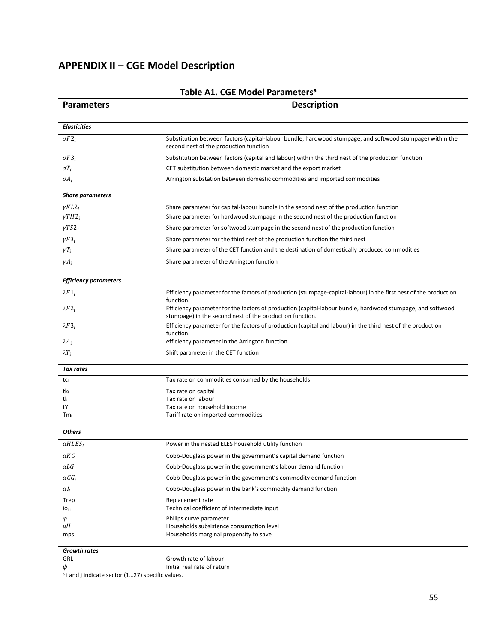# **APPENDIX II – CGE Model Description**

| <b>Parameters</b>            | <b>Description</b>                                                                                                                                  |  |  |
|------------------------------|-----------------------------------------------------------------------------------------------------------------------------------------------------|--|--|
| <b>Elasticities</b>          |                                                                                                                                                     |  |  |
| $\sigma F2_i$                | Substitution between factors (capital-labour bundle, hardwood stumpage, and softwood stumpage) within the<br>second nest of the production function |  |  |
| $\sigma F3_i$                | Substitution between factors (capital and labour) within the third nest of the production function                                                  |  |  |
| $\sigma T_i$                 | CET substitution between domestic market and the export market                                                                                      |  |  |
| $\sigma A_i$                 | Arrington substation between domestic commodities and imported commodities                                                                          |  |  |
| <b>Share parameters</b>      |                                                                                                                                                     |  |  |
| $\gamma K L2_i$              | Share parameter for capital-labour bundle in the second nest of the production function                                                             |  |  |
| $\gamma TH2_i$               | Share parameter for hardwood stumpage in the second nest of the production function                                                                 |  |  |
| $\gamma TS2_i$               | Share parameter for softwood stumpage in the second nest of the production function                                                                 |  |  |
| $\gamma F3_i$                | Share parameter for the third nest of the production function the third nest                                                                        |  |  |
| $\gamma T_i$                 | Share parameter of the CET function and the destination of domestically produced commodities                                                        |  |  |
| $\gamma A_i$                 | Share parameter of the Arrington function                                                                                                           |  |  |
| <b>Efficiency parameters</b> |                                                                                                                                                     |  |  |
| $\lambda F1_i$               | Efficiency parameter for the factors of production (stumpage-capital-labour) in the first nest of the production                                    |  |  |
| $\lambda F2_i$               | function.<br>Efficiency parameter for the factors of production (capital-labour bundle, hardwood stumpage, and softwood                             |  |  |
|                              | stumpage) in the second nest of the production function.                                                                                            |  |  |
| $\lambda F3_i$               | Efficiency parameter for the factors of production (capital and labour) in the third nest of the production<br>function.                            |  |  |
| $\lambda A_i$                | efficiency parameter in the Arrington function                                                                                                      |  |  |
| $\lambda T_i$                | Shift parameter in the CET function                                                                                                                 |  |  |
| <b>Tax rates</b>             |                                                                                                                                                     |  |  |
| tci                          | Tax rate on commodities consumed by the households                                                                                                  |  |  |
| tki                          | Tax rate on capital                                                                                                                                 |  |  |
| tli<br>tY                    | Tax rate on labour<br>Tax rate on household income                                                                                                  |  |  |
| $Tm_i$                       | Tariff rate on imported commodities                                                                                                                 |  |  |
| <b>Others</b>                |                                                                                                                                                     |  |  |
| $\alpha HLES_i$              | Power in the nested ELES household utility function                                                                                                 |  |  |
| αKG                          | Cobb-Douglass power in the government's capital demand function                                                                                     |  |  |
| $\alpha LG$                  | Cobb-Douglass power in the government's labour demand function                                                                                      |  |  |
| $\alpha CG_i$                | Cobb-Douglass power in the government's commodity demand function                                                                                   |  |  |
| $\alpha I_i$                 | Cobb-Douglass power in the bank's commodity demand function                                                                                         |  |  |
| Trep                         | Replacement rate                                                                                                                                    |  |  |
| İO <sub>i,j</sub>            | Technical coefficient of intermediate input                                                                                                         |  |  |
| φ                            | Philips curve parameter                                                                                                                             |  |  |
| μH                           | Households subsistence consumption level                                                                                                            |  |  |
| mps                          | Households marginal propensity to save                                                                                                              |  |  |
| Growth rates                 |                                                                                                                                                     |  |  |
| GRL                          | Growth rate of labour                                                                                                                               |  |  |
| ψ                            | Initial real rate of return                                                                                                                         |  |  |

## **Table A1. CGE Model Parametersa**

 $\alpha$  i and j indicate sector (1...27) specific values.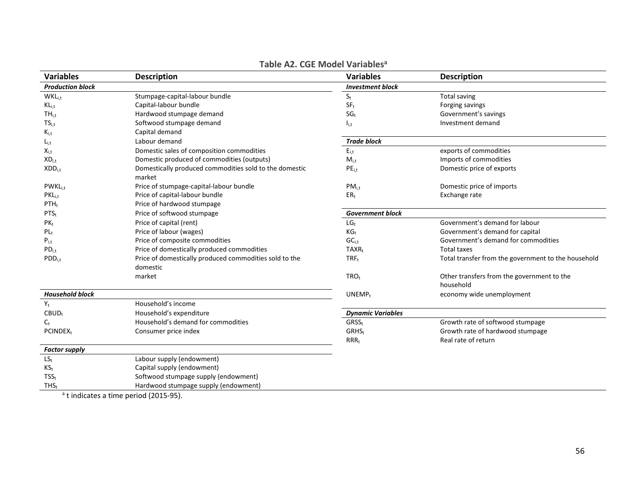| <b>Variables</b>          | <b>Description</b>                                     | <b>Variables</b>         | <b>Description</b>                                  |
|---------------------------|--------------------------------------------------------|--------------------------|-----------------------------------------------------|
| <b>Production block</b>   |                                                        | <b>Investment block</b>  |                                                     |
| <b>WKL</b> <sub>i,t</sub> | Stumpage-capital-labour bundle                         | $S_t$                    | <b>Total saving</b>                                 |
| $KL_{i,t}$                | Capital-labour bundle                                  | $SF_t$                   | Forging savings                                     |
| $TH_{i,t}$                | Hardwood stumpage demand                               | SG <sub>t</sub>          | Government's savings                                |
| $TS_{i,t}$                | Softwood stumpage demand                               | $I_{i,t}$                | Investment demand                                   |
| $K_{i,t}$                 | Capital demand                                         |                          |                                                     |
| $L_{i,t}$                 | Labour demand                                          | <b>Trade block</b>       |                                                     |
| $X_{i,t}$                 | Domestic sales of composition commodities              | $E_{i,t}$                | exports of commodities                              |
| $XD_{i.t}$                | Domestic produced of commodities (outputs)             | $M_{i.t}$                | Imports of commodities                              |
| $XDD_{i,t}$               | Domestically produced commodities sold to the domestic | $PE_{i,t}$               | Domestic price of exports                           |
|                           | market                                                 |                          |                                                     |
| <b>PWKLi.t</b>            | Price of stumpage-capital-labour bundle                | $PM_{i.t}$               | Domestic price of imports                           |
| $PKL_{i,t}$               | Price of capital-labour bundle                         | ER <sub>t</sub>          | Exchange rate                                       |
| $PTH_t$                   | Price of hardwood stumpage                             |                          |                                                     |
| $PTS_t$                   | Price of softwood stumpage                             | <b>Government block</b>  |                                                     |
| $PK_{t}$                  | Price of capital (rent)                                | $LG_t$                   | Government's demand for labour                      |
| $PL_t$                    | Price of labour (wages)                                | KG <sub>t</sub>          | Government's demand for capital                     |
| $P_{i,t}$                 | Price of composite commodities                         | $GC_{i,t}$               | Government's demand for commodities                 |
| $PD_{i,t}$                | Price of domestically produced commodities             | $TAXR_t$                 | <b>Total taxes</b>                                  |
| $PDD_{i,t}$               | Price of domestically produced commodities sold to the | $TRF_t$                  | Total transfer from the government to the household |
|                           | domestic                                               |                          |                                                     |
|                           | market                                                 | TRO <sub>t</sub>         | Other transfers from the government to the          |
|                           |                                                        |                          | household                                           |
| <b>Household block</b>    |                                                        | UNEMP <sub>t</sub>       | economy wide unemployment                           |
| $Y_t$                     | Household's income                                     |                          |                                                     |
| $CBUD_t$                  | Household's expenditure                                | <b>Dynamic Variables</b> |                                                     |
| $C_{t}$                   | Household's demand for commodities                     | GRSS <sub>t</sub>        | Growth rate of softwood stumpage                    |
| <b>PCINDEXt</b>           | Consumer price index                                   | GRHS <sub>t</sub>        | Growth rate of hardwood stumpage                    |
|                           |                                                        | $RRR_t$                  | Real rate of return                                 |
| <b>Factor supply</b>      |                                                        |                          |                                                     |
| $LS_t$                    | Labour supply (endowment)                              |                          |                                                     |
| $KS_t$                    | Capital supply (endowment)                             |                          |                                                     |
| TSS <sub>t</sub>          | Softwood stumpage supply (endowment)                   |                          |                                                     |
| $THS_t$                   | Hardwood stumpage supply (endowment)                   |                          |                                                     |

## **Table A2. CGE Model Variablesa**

<sup>a</sup>t indicates a time period (2015-95).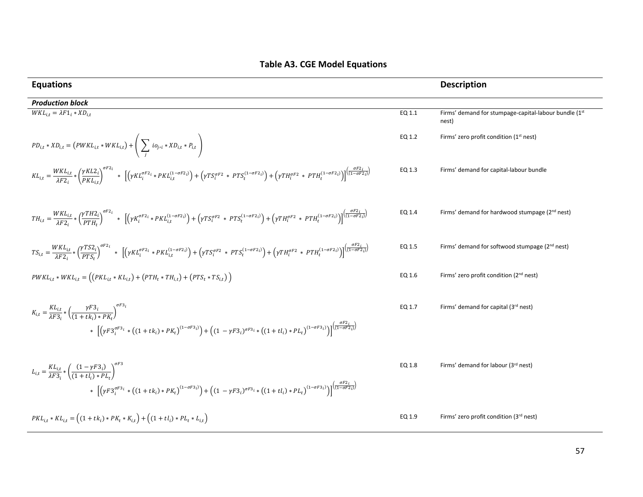| <b>Equations</b>                                                                                                                                                                                                                                                                                                                                                                                        |        | <b>Description</b>                                             |
|---------------------------------------------------------------------------------------------------------------------------------------------------------------------------------------------------------------------------------------------------------------------------------------------------------------------------------------------------------------------------------------------------------|--------|----------------------------------------------------------------|
| <b>Production block</b>                                                                                                                                                                                                                                                                                                                                                                                 |        |                                                                |
| $WKL_{i,t} = \lambda F1_i * XD_{i,t}$                                                                                                                                                                                                                                                                                                                                                                   | EQ 1.1 | Firms' demand for stumpage-capital-labour bundle (1st<br>nest) |
| $PD_{i,t} * XD_{i,t} = (PWKL_{i,t} * WKL_{i,t}) + \left(\sum_{i} i o_{j \cdot i} * XD_{i,t} * P_{i,t}\right)$                                                                                                                                                                                                                                                                                           | EQ 1.2 | Firms' zero profit condition (1 <sup>st</sup> nest)            |
| $KL_{i,t} = \frac{WKL_{i,t}}{\lambda F2_{i}} * \left(\frac{\gamma KL_{i}}{PKL_{i}}\right)^{o r z_{i}} * \left[ \left(\gamma KL_{i}^{qF2_{i}} * PKL_{i,t}^{(1-qF2_{i})}\right) + \left(\gamma TS_{i}^{qF2} * PTS_{t}^{(1-qF2_{i})}\right) + \left(\gamma TH_{i}^{qF2} * PTH_{t}^{(1-qF2_{i})}\right) \right] \frac{qF2_{i}}{(1-qF2_{i})}$                                                                | EQ 1.3 | Firms' demand for capital-labour bundle                        |
| $TH_{i,t} = \frac{WKL_{i,t}}{\lambda F2_i} * \left(\frac{\gamma TH2_i}{PTH_*}\right)^{\sigma r z_i} * \left[ \left(\gamma K_i^{\sigma F2_i} * PKL_{i,t}^{(1-\sigma F2_i)}\right) + \left(\gamma TS_i^{\sigma F2} * PTS_t^{(1-\sigma F2_i)}\right) + \left(\gamma TH_i^{\sigma F2} * PTH_t^{(1-\sigma F2_i)}\right) \right] \frac{(\frac{\sigma F2_i}{(\sqrt{1-\sigma F2_i})})}{(\sqrt{1-\sigma F2_i})}$ | EQ 1.4 | Firms' demand for hardwood stumpage (2 <sup>nd</sup> nest)     |
| $TS_{i,t} = \frac{WKL_{i,t}}{\lambda F2_i} * \left(\frac{\gamma TS2_i}{PTS_i}\right)^{\sigma F2_i} * \left[ \left(\gamma KL_i^{\sigma F2_i} * PKL_{i,t}^{(1-\sigma F2_i)}\right) + \left(\gamma TS_i^{\sigma F2} * PTS_t^{(1-\sigma F2_i)}\right) + \left(\gamma TH_i^{\sigma F2} * PTH_t^{(1-\sigma F2_i)}\right) \right] \frac{\sigma F2_i}{(1-\sigma F2_i)}$                                         | EQ 1.5 | Firms' demand for softwood stumpage (2 <sup>nd</sup> nest)     |
| $PWKL_{i,t} * WKL_{i,t} = ((PKL_{i,t} * KL_{i,t}) + (PTH_t * TH_{i,t}) + (PTS_t * TS_{i,t}))$                                                                                                                                                                                                                                                                                                           | EQ 1.6 | Firms' zero profit condition (2 <sup>nd</sup> nest)            |
| $K_{i,t} = \frac{KL_{i,t}}{\lambda F3} * \left(\frac{\gamma F3_i}{(1 + tk_i) * PK_i}\right)^{\sigma F3_i}$<br>$* \left[\left(\gamma F3_i^{\sigma F3_i} * \left((1+tk_i)*PK_t\right)^{(1-\sigma F3_i)}\right) + \left((1-\gamma F3_i)^{\sigma F3_i} * \left((1+tl_i)*PL_t\right)^{(1-\sigma F3_i)}\right)\right]^{(\frac{\sigma F2_i}{(1-\sigma F2_i)})}$                                                | EQ 1.7 | Firms' demand for capital (3rd nest)                           |
| $L_{i,t} = \frac{KL_{i,t}}{\lambda F3_i} * \left(\frac{(1 - \gamma F3_i)}{(1 + tL) * PL_i}\right)^{\sigma F3}$<br>$* \left[\left(\gamma F3_i^{\sigma F3_i} * \left((1+tk_i)*PK_t\right)^{(1-\sigma F3_i)}\right) + \left((1-\gamma F3_i)^{\sigma F3_i} * \left((1+tl_i)*PL_t\right)^{(1-\sigma F3_i)}\right)\right]^{(\frac{\sigma F2_i}{(1-\sigma F2_i)})}$                                            | EQ 1.8 | Firms' demand for labour (3rd nest)                            |
| $PKL_{i,t} * KL_{i,t} = ((1 + tk_i) * PK_t * K_{i,t}) + ((1 + tl_i) * PL_t * L_{i,t})$                                                                                                                                                                                                                                                                                                                  | EQ 1.9 | Firms' zero profit condition (3rd nest)                        |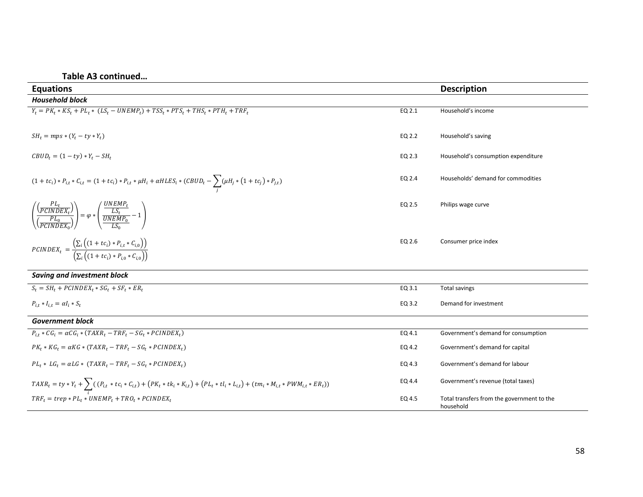**Table A3 continued…** 

| <b>Equations</b>                                                                                                                                                 |        | <b>Description</b>                                      |  |  |
|------------------------------------------------------------------------------------------------------------------------------------------------------------------|--------|---------------------------------------------------------|--|--|
| <b>Household block</b>                                                                                                                                           |        |                                                         |  |  |
| $Y_t = PK_t * KS_t + P\overline{L_t * (LS_t - UNEMP_t) + TSS_t * PTS_t + THS_t * PTH_t + TRF_t}$                                                                 | EQ 2.1 | Household's income                                      |  |  |
| $SH_t = mps * (Y_t - ty * Y_t)$                                                                                                                                  | EQ 2.2 | Household's saving                                      |  |  |
| $CBUD_t = (1 - ty) * Y_t - SH_t$                                                                                                                                 | EQ 2.3 | Household's consumption expenditure                     |  |  |
| $(1 + tc_i) * P_{i,t} * C_{i,t} = (1 + tc_i) * P_{i,t} * \mu H_i + \alpha HLES_i * (CBUD_t - \sum_i (\mu H_j * (1 + tc_j) * P_{j,t})$                            | EQ 2.4 | Households' demand for commodities                      |  |  |
| $\left(\frac{F_{L_t}}{\left(\frac{PL_0}{PLINDER}\right)}\right) = \varphi * \left(\frac{\frac{UNEMP_t}{LS_t}}{\frac{UL_0}{UNEMP_0}} - 1\right)$                  | EQ 2.5 | Philips wage curve                                      |  |  |
| $\text{PCINDER}_{t} = \frac{\left(\sum_{i}\left((1 + tc_i) * P_{i,t} * C_{i,0}\right)\right)}{\left(\sum_{i}\left((1 + tc_i) * P_{i,0} * C_{i,0}\right)\right)}$ | EQ 2.6 | Consumer price index                                    |  |  |
| <b>Saving and investment block</b>                                                                                                                               |        |                                                         |  |  |
| $S_t = SH_t + PCINDER_t * SG_t + SF_t * ER_t$                                                                                                                    | EQ 3.1 | <b>Total savings</b>                                    |  |  |
| $P_{i,t} * I_{i,t} = \alpha I_i * S_t$                                                                                                                           | EQ 3.2 | Demand for investment                                   |  |  |
| <b>Government block</b>                                                                                                                                          |        |                                                         |  |  |
| $P_{i,t} * CG_i = \alpha CG_i * (TAXR_t - TRF_t - SG_t * PCINDER_t)$                                                                                             | EQ 4.1 | Government's demand for consumption                     |  |  |
| $PK_t * KG_t = \alpha KG * (TAXR_t - TRF_t - SG_t * PCIDEX_t)$                                                                                                   | EQ 4.2 | Government's demand for capital                         |  |  |
| $PL_t * LG_t = \alpha LG * (TAXR_t - TRF_t - SG_t * PCIDEX_t)$                                                                                                   | EQ 4.3 | Government's demand for labour                          |  |  |
| $TAXR_t = ty * Y_t + \sum_i ( (P_{i,t} * tc_i * C_{i,t}) + (PK_t * tk_i * K_{i,t}) + (PL_t * tl_i * L_{i,t}) + (tm_i * M_{i,t} * PWM_{i,t} * ER_t) )$            | EQ 4.4 | Government's revenue (total taxes)                      |  |  |
| $TRF_t = trep * PL_t * UNEMP_t + TRO_t * PCINDER$                                                                                                                | EQ 4.5 | Total transfers from the government to the<br>household |  |  |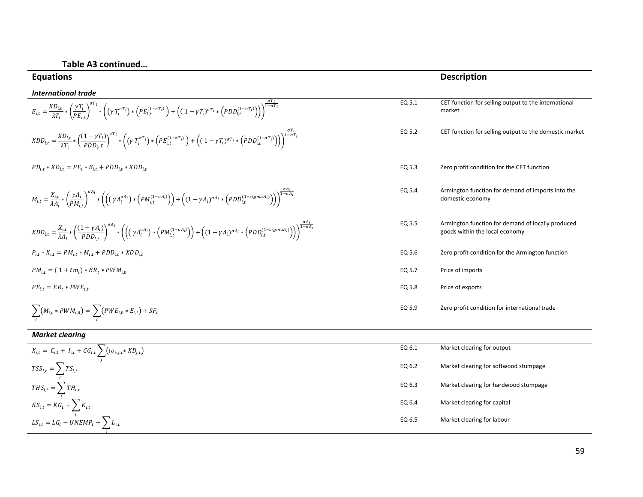| <b>Equations</b>                                                                                                                                                                                                                                                                                                                                                                                   |        | <b>Description</b>                                                                  |
|----------------------------------------------------------------------------------------------------------------------------------------------------------------------------------------------------------------------------------------------------------------------------------------------------------------------------------------------------------------------------------------------------|--------|-------------------------------------------------------------------------------------|
| <b>International trade</b>                                                                                                                                                                                                                                                                                                                                                                         |        |                                                                                     |
| $E_{i,t} = \frac{XD_{i,t}}{\lambda T_i} * \left(\frac{\gamma T_i}{PE_{i,t}}\right)^{\sigma T_i} * \left((\gamma T_i^{\sigma T_i}) * \left(PE_{i,t}^{(1-\sigma T_i)}\right) + \left((1-\gamma T_i)^{\sigma T_i} * \left(PDD_{i,t}^{(1-\sigma T_i)}\right)\right)\right)^{\frac{1-\sigma T_i}{1-\sigma T_i}}$                                                                                        | EQ 5.1 | CET function for selling output to the international<br>market                      |
| $\label{eq:2} \begin{split} \textit{XDD}_{i,t} = \frac{\textit{XD}_{i,t}}{\lambda T} * \left( \frac{(1-\gamma T_i)}{PDD_{i,t}} \right)^{\sigma T_i} * \left( \left( \gamma \ T_i^{\sigma T_i} \right) * \left( PE_{i,t}^{(1-\sigma T_i)} \right) + \left( (1-\gamma T_i)^{\sigma T_i} * \left( PDD_{i,t}^{(1-\sigma T_i)} \right) \right) \right)^{\frac{1-\sigma T_i}{1-\sigma T_i}} \end{split}$ | EQ 5.2 | CET function for selling output to the domestic market                              |
| $PD_{i,t} * XD_{i,t} = PE_i * E_{i,t} + PDD_{i,t} * XDD_{i,t}$                                                                                                                                                                                                                                                                                                                                     | EQ 5.3 | Zero profit condition for the CET function                                          |
| $M_{i,t} = \frac{X_{i,t}}{\lambda A_i} * \left(\frac{\gamma A_i}{PM_{i,t}}\right)^{o_{A_i}} * \left(\left(\left(\gamma A_i^{\sigma A_i}\right) * \left(PM_{i,t}^{(1-\sigma A_i)}\right)\right) + \left((1-\gamma A_i)^{\sigma A_i} * \left(PDD_{i,t}^{(1-sigma A_i)}\right)\right)\right)^{\frac{1-\sigma A_i}{1-\sigma A_i}}$                                                                     | EQ 5.4 | Armington function for demand of imports into the<br>domestic economy               |
| $\label{eq:LD} \begin{split} \text{XDD}_{i,t} = \frac{X_{i,t}}{\lambda A_i} * \left(\frac{(1-\gamma A_i)}{PDD_{i,t}}\right)^{\sigma_{A_i}} * \left(\left(\left(\gamma A_i^{\sigma A_i}\right) * \left(PM_{i,t}^{(1-\sigma A_i)}\right)\right) + \left((1-\gamma A_i)^{\sigma A_i} * \left(PDD_{i,t}^{(1-sigma A_i)}\right)\right)\right)^{\frac{1-\sigma_{A_i}}{1-\sigma A_i}} \end{split}$        | EQ 5.5 | Armington function for demand of locally produced<br>goods within the local economy |
| $P_{i,t} * X_{i,t} = PM_{i,t} * M_{i,t} + PDD_{i,t} * XDD_{i,t}$                                                                                                                                                                                                                                                                                                                                   | EQ 5.6 | Zero profit condition for the Armington function                                    |
| $PM_{i,t} = (1 + tm_i) * ER_t * PWM_{i,0}$                                                                                                                                                                                                                                                                                                                                                         | EQ 5.7 | Price of imports                                                                    |
| $PE_{i,t} = ER_{t} * PWE_{i,t}$                                                                                                                                                                                                                                                                                                                                                                    | EQ 5.8 | Price of exports                                                                    |
| $\sum (M_{i,t} * PWM_{i,0}) = \sum (PWE_{i,0} * E_{i,t}) + SF_t$                                                                                                                                                                                                                                                                                                                                   | EQ 5.9 | Zero profit condition for international trade                                       |
| <b>Market clearing</b>                                                                                                                                                                                                                                                                                                                                                                             |        |                                                                                     |

| EQ 6.1 | Market clearing for output            |
|--------|---------------------------------------|
| EQ 6.2 | Market clearing for softwood stumpage |
| EQ 6.3 | Market clearing for hardwood stumpage |
| EQ 6.4 | Market clearing for capital           |
| EQ 6.5 | Market clearing for labour            |